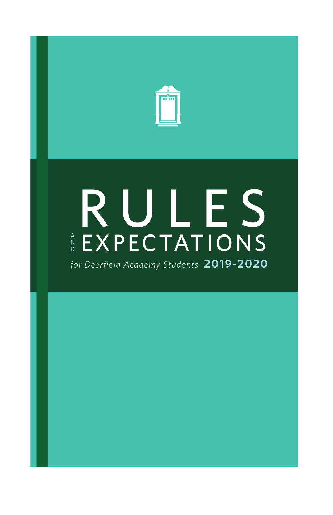

# RULES EXPECTATIONS

for Deerfield Academy Students 2019-2020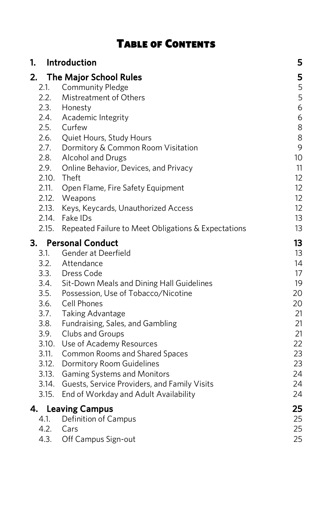| <b>TABLE OF CONTENTS</b> |  |
|--------------------------|--|
|--------------------------|--|

| 1.<br>Introduction |                                                     | 5  |
|--------------------|-----------------------------------------------------|----|
| 2.                 | The Major School Rules                              | 5  |
| 2.1.               | <b>Community Pledge</b>                             | 5  |
| 2.2.               | Mistreatment of Others                              | 5  |
|                    | 2.3. Honesty                                        | 6  |
|                    | 2.4. Academic Integrity<br>2.5. Curfew              | 6  |
|                    |                                                     | 8  |
|                    | 2.6. Quiet Hours, Study Hours                       | 8  |
|                    | 2.7. Dormitory & Common Room Visitation             | 9  |
|                    | 2.8. Alcohol and Drugs                              | 10 |
|                    | 2.9. Online Behavior, Devices, and Privacy          | 11 |
|                    | 2.10. Theft                                         | 12 |
| 2.11.              | Open Flame, Fire Safety Equipment                   | 12 |
|                    | 2.12. Weapons                                       | 12 |
| 2.13.              | Keys, Keycards, Unauthorized Access                 | 12 |
| 2.14.              | Fake IDs                                            | 13 |
| 2.15.              | Repeated Failure to Meet Obligations & Expectations | 13 |
|                    | 3. Personal Conduct                                 | 13 |
| 3.1.               | Gender at Deerfield                                 | 13 |
|                    | 3.2. Attendance                                     | 14 |
|                    | 3.3. Dress Code                                     | 17 |
|                    | 3.4. Sit-Down Meals and Dining Hall Guidelines      | 19 |
|                    | 3.5. Possession, Use of Tobacco/Nicotine            | 20 |
|                    | 3.6. Cell Phones                                    | 20 |
|                    | 3.7. Taking Advantage                               | 21 |
|                    | 3.8. Fundraising, Sales, and Gambling               | 21 |
|                    | 3.9. Clubs and Groups                               | 21 |
|                    | 3.10. Use of Academy Resources                      | 22 |
| 3.11.              | Common Rooms and Shared Spaces                      | 23 |
| 3.12.              | Dormitory Room Guidelines                           | 23 |
| 3.13.              | <b>Gaming Systems and Monitors</b>                  | 24 |
| 3.14.              | Guests, Service Providers, and Family Visits        | 24 |
| 3.15.              | End of Workday and Adult Availability               | 24 |
| 4.                 | <b>Leaving Campus</b>                               | 25 |
| 4.1.               | Definition of Campus                                | 25 |
| 4.2.               | Cars                                                | 25 |
| 4.3.               | Off Campus Sign-out                                 | 25 |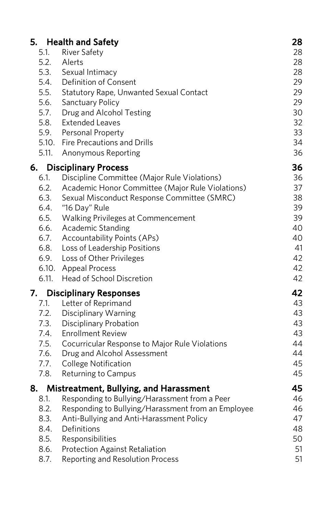|              | 5. Health and Safety                                                                             | 28       |
|--------------|--------------------------------------------------------------------------------------------------|----------|
| 5.1.         | <b>River Safety</b>                                                                              | 28       |
| 5.2.         | Alerts                                                                                           | 28       |
|              | 5.3. Sexual Intimacy                                                                             | 28       |
|              | 5.4. Definition of Consent                                                                       | 29       |
| 5.5.<br>5.6. | <b>Statutory Rape, Unwanted Sexual Contact</b>                                                   | 29       |
|              | <b>Sanctuary Policy</b>                                                                          | 29       |
|              | 5.7. Drug and Alcohol Testing                                                                    | 30       |
|              | 5.8. Extended Leaves<br>5.9. Personal Property                                                   | 32<br>33 |
|              | 5.10. Fire Precautions and Drills                                                                | 34       |
| 5.11.        | Anonymous Reporting                                                                              | 36       |
|              |                                                                                                  |          |
| 6.           | <b>Disciplinary Process</b>                                                                      | 36       |
| 6.1.<br>6.2. | Discipline Committee (Major Rule Violations)<br>Academic Honor Committee (Major Rule Violations) | 36<br>37 |
| 6.3.         | Sexual Misconduct Response Committee (SMRC)                                                      | 38       |
| 6.4.         | "16 Day" Rule                                                                                    | 39       |
| 6.5.         | Walking Privileges at Commencement                                                               | 39       |
|              | 6.6. Academic Standing                                                                           | 40       |
| 6.7.         | <b>Accountability Points (APs)</b>                                                               | 40       |
| 6.8.         | Loss of Leadership Positions                                                                     | 41       |
|              | 6.9. Loss of Other Privileges                                                                    | 42       |
|              | 6.10. Appeal Process                                                                             | 42       |
| 6.11.        | Head of School Discretion                                                                        | 42       |
| 7.           | <b>Disciplinary Responses</b>                                                                    | 42       |
| 7.1.         | Letter of Reprimand                                                                              | 43       |
|              |                                                                                                  | 43       |
|              | 7.2. Disciplinary Warning<br>7.3. Disciplinary Probation                                         | 43       |
|              | 7.4. Enrollment Review                                                                           | 43       |
| 7.5.         | Cocurricular Response to Major Rule Violations                                                   | 44       |
|              | 7.6. Drug and Alcohol Assessment                                                                 | 44       |
| 7.7.         | College Notification                                                                             | 45       |
| 7.8.         | Returning to Campus                                                                              | 45       |
| 8.           | Mistreatment, Bullying, and Harassment                                                           | 45       |
| 8.1.         | Responding to Bullying/Harassment from a Peer                                                    | 46       |
| 8.2.         | Responding to Bullying/Harassment from an Employee                                               | 46       |
| 8.3.         | Anti-Bullying and Anti-Harassment Policy                                                         | 47       |
| 8.4.         | Definitions                                                                                      | 48       |
| 8.5.         | Responsibilities                                                                                 | 50       |
| 8.6.         | Protection Against Retaliation                                                                   | 51       |
| 8.7.         | Reporting and Resolution Process                                                                 | 51       |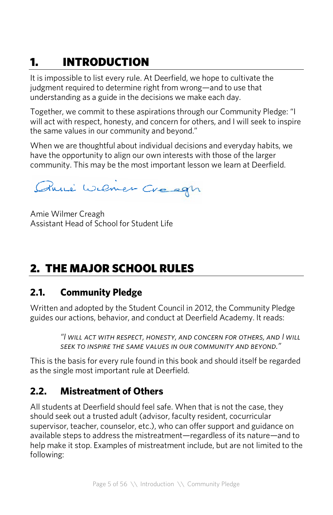# 1. INTRODUCTION

It is impossible to list every rule. At Deerfield, we hope to cultivate the judgment required to determine right from wrong—and to use that understanding as a guide in the decisions we make each day.

Together, we commit to these aspirations through our Community Pledge: "I will act with respect, honesty, and concern for others, and I will seek to inspire the same values in our community and beyond."

When we are thoughtful about individual decisions and everyday habits, we have the opportunity to align our own interests with those of the larger community. This may be the most important lesson we learn at Deerfield.

Anné Wemer Creegn

Amie Wilmer Creagh Assistant Head of School for Student Life

# 2. THE MAJOR SCHOOL RULES

### **2.1. Community Pledge**

Written and adopted by the Student Council in 2012, the Community Pledge guides our actions, behavior, and conduct at Deerfield Academy. It reads:

> *"I will act with respect, honesty, and concern for others, and I will seek to inspire the same values in our community and beyond."*

This is the basis for every rule found in this book and should itself be regarded as the single most important rule at Deerfield.

# **2.2. Mistreatment of Others**

All students at Deerfield should feel safe. When that is not the case, they should seek out a trusted adult (advisor, faculty resident, cocurricular supervisor, teacher, counselor, etc.), who can offer support and guidance on available steps to address the mistreatment—regardless of its nature—and to help make it stop. Examples of mistreatment include, but are not limited to the following: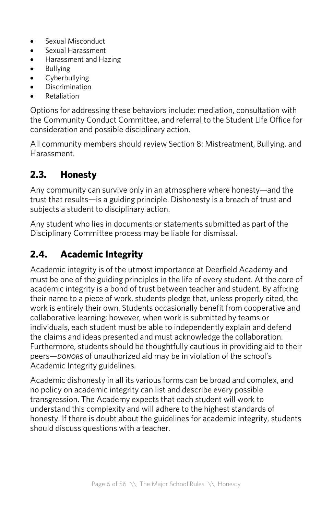- Sexual Misconduct
- Sexual Harassment
- Harassment and Hazing
- Bullying
- Cyberbullying
- **Discrimination**
- Retaliation

Options for addressing these behaviors include: mediation, consultation with the Community Conduct Committee, and referral to the Student Life Office for consideration and possible disciplinary action.

All community members should review Section 8: Mistreatment, Bullying, and Harassment.

# **2.3. Honesty**

Any community can survive only in an atmosphere where honesty—and the trust that results—is a guiding principle. Dishonesty is a breach of trust and subjects a student to disciplinary action.

Any student who lies in documents or statements submitted as part of the Disciplinary Committee process may be liable for dismissal.

# **2.4. Academic Integrity**

Academic integrity is of the utmost importance at Deerfield Academy and must be one of the guiding principles in the life of every student. At the core of academic integrity is a bond of trust between teacher and student. By affixing their name to a piece of work, students pledge that, unless properly cited, the work is entirely their own. Students occasionally benefit from cooperative and collaborative learning; however, when work is submitted by teams or individuals, each student must be able to independently explain and defend the claims and ideas presented and must acknowledge the collaboration. Furthermore, students should be thoughtfully cautious in providing aid to their peers—*donors* of unauthorized aid may be in violation of the school's Academic Integrity guidelines.

Academic dishonesty in all its various forms can be broad and complex, and no policy on academic integrity can list and describe every possible transgression. The Academy expects that each student will work to understand this complexity and will adhere to the highest standards of honesty. If there is doubt about the guidelines for academic integrity, students should discuss questions with a teacher.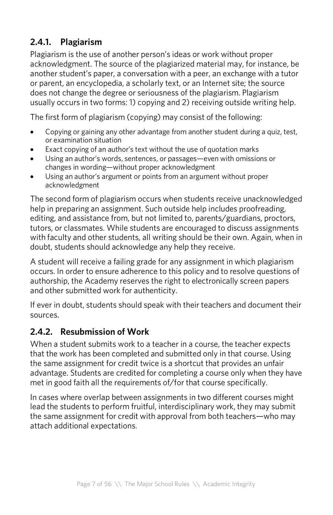# **2.4.1. Plagiarism**

Plagiarism is the use of another person's ideas or work without proper acknowledgment. The source of the plagiarized material may, for instance, be another student's paper, a conversation with a peer, an exchange with a tutor or parent, an encyclopedia, a scholarly text, or an Internet site; the source does not change the degree or seriousness of the plagiarism. Plagiarism usually occurs in two forms: 1) copying and 2) receiving outside writing help.

The first form of plagiarism (copying) may consist of the following:

- Copying or gaining any other advantage from another student during a quiz, test, or examination situation
- Exact copying of an author's text without the use of quotation marks
- Using an author's words, sentences, or passages—even with omissions or changes in wording—without proper acknowledgment
- Using an author's argument or points from an argument without proper acknowledgment

The second form of plagiarism occurs when students receive unacknowledged help in preparing an assignment. Such outside help includes proofreading, editing, and assistance from, but not limited to, parents/guardians, proctors, tutors, or classmates. While students are encouraged to discuss assignments with faculty and other students, all writing should be their own. Again, when in doubt, students should acknowledge any help they receive.

A student will receive a failing grade for any assignment in which plagiarism occurs. In order to ensure adherence to this policy and to resolve questions of authorship, the Academy reserves the right to electronically screen papers and other submitted work for authenticity.

If ever in doubt, students should speak with their teachers and document their sources.

### **2.4.2. Resubmission of Work**

When a student submits work to a teacher in a course, the teacher expects that the work has been completed and submitted only in that course. Using the same assignment for credit twice is a shortcut that provides an unfair advantage. Students are credited for completing a course only when they have met in good faith all the requirements of/for that course specifically.

In cases where overlap between assignments in two different courses might lead the students to perform fruitful, interdisciplinary work, they may submit the same assignment for credit with approval from both teachers—who may attach additional expectations.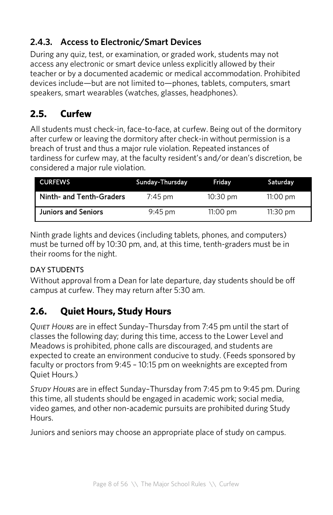# **2.4.3. Access to Electronic/Smart Devices**

During any quiz, test, or examination, or graded work, students may not access any electronic or smart device unless explicitly allowed by their teacher or by a documented academic or medical accommodation. Prohibited devices include—but are not limited to—phones, tablets, computers, smart speakers, smart wearables (watches, glasses, headphones).

# **2.5. Curfew**

All students must check-in, face-to-face, at curfew. Being out of the dormitory after curfew or leaving the dormitory after check-in without permission is a breach of trust and thus a major rule violation. Repeated instances of tardiness for curfew may, at the faculty resident's and/or dean's discretion, be considered a major rule violation.

| <b>CURFEWS</b>             | Sunday-Thursday   | Friday             | Saturdav           |
|----------------------------|-------------------|--------------------|--------------------|
| Ninth- and Tenth-Graders   | $7:45$ pm         | $10:30 \text{ pm}$ | $11:00 \text{ pm}$ |
| <b>Juniors and Seniors</b> | $9:45 \text{ pm}$ | $11:00$ pm         | $11:30$ pm         |

Ninth grade lights and devices (including tablets, phones, and computers) must be turned off by 10:30 pm, and, at this time, tenth-graders must be in their rooms for the night.

### DAY STUDENTS

Without approval from a Dean for late departure, day students should be off campus at curfew. They may return after 5:30 am.

# **2.6. Quiet Hours, Study Hours**

*Quiet Hours* are in effect Sunday–Thursday from 7:45 pm until the start of classes the following day; during this time, access to the Lower Level and Meadows is prohibited, phone calls are discouraged, and students are expected to create an environment conducive to study. (Feeds sponsored by faculty or proctors from 9:45 – 10:15 pm on weeknights are excepted from Quiet Hours.)

*Study Hours* are in effect Sunday–Thursday from 7:45 pm to 9:45 pm. During this time, all students should be engaged in academic work; social media, video games, and other non-academic pursuits are prohibited during Study Hours.

Juniors and seniors may choose an appropriate place of study on campus.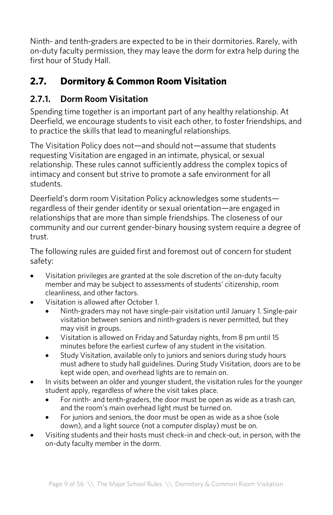Ninth- and tenth-graders are expected to be in their dormitories. Rarely, with on-duty faculty permission, they may leave the dorm for extra help during the first hour of Study Hall.

# **2.7. Dormitory & Common Room Visitation**

### **2.7.1. Dorm Room Visitation**

Spending time together is an important part of any healthy relationship. At Deerfield, we encourage students to visit each other, to foster friendships, and to practice the skills that lead to meaningful relationships.

The Visitation Policy does not—and should not—assume that students requesting Visitation are engaged in an intimate, physical, or sexual relationship. These rules cannot sufficiently address the complex topics of intimacy and consent but strive to promote a safe environment for all students.

Deerfield's dorm room Visitation Policy acknowledges some students regardless of their gender identity or sexual orientation—are engaged in relationships that are more than simple friendships. The closeness of our community and our current gender-binary housing system require a degree of trust.

The following rules are guided first and foremost out of concern for student safety:

- Visitation privileges are granted at the sole discretion of the on-duty faculty member and may be subject to assessments of students' citizenship, room cleanliness, and other factors.
- Visitation is allowed after October 1.
	- Ninth-graders may not have single-pair visitation until January 1. Single-pair visitation between seniors and ninth-graders is never permitted, but they may visit in groups.
	- Visitation is allowed on Friday and Saturday nights, from 8 pm until 15 minutes before the earliest curfew of any student in the visitation.
	- Study Visitation, available only to juniors and seniors during study hours must adhere to study hall guidelines. During Study Visitation, doors are to be kept wide open, and overhead lights are to remain on.
- In visits between an older and younger student, the visitation rules for the younger student apply, regardless of where the visit takes place.
	- For ninth- and tenth-graders, the door must be open as wide as a trash can, and the room's main overhead light must be turned on.
	- For juniors and seniors, the door must be open as wide as a shoe (sole down), and a light source (not a computer display) must be on.
- Visiting students and their hosts must check-in and check-out, in person, with the on-duty faculty member in the dorm.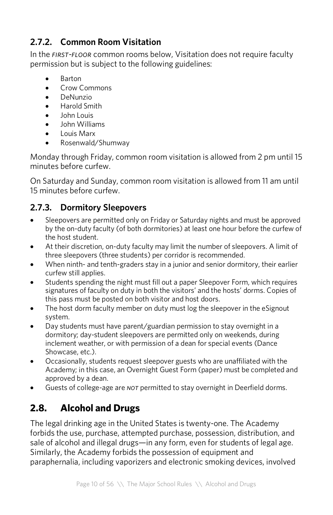# **2.7.2. Common Room Visitation**

In the *first-floor* common rooms below, Visitation does not require faculty permission but is subject to the following guidelines:

- Barton
- Crow Commons
- DeNunzio
- Harold Smith
- John Louis
- John Williams
- Louis Marx
- Rosenwald/Shumway

Monday through Friday, common room visitation is allowed from 2 pm until 15 minutes before curfew.

On Saturday and Sunday, common room visitation is allowed from 11 am until 15 minutes before curfew.

# **2.7.3. Dormitory Sleepovers**

- Sleepovers are permitted only on Friday or Saturday nights and must be approved by the on-duty faculty (of both dormitories) at least one hour before the curfew of the host student.
- At their discretion, on-duty faculty may limit the number of sleepovers. A limit of three sleepovers (three students) per corridor is recommended.
- When ninth- and tenth-graders stay in a junior and senior dormitory, their earlier curfew still applies.
- Students spending the night must fill out a paper Sleepover Form, which requires signatures of faculty on duty in both the visitors' and the hosts' dorms. Copies of this pass must be posted on both visitor and host doors.
- The host dorm faculty member on duty must log the sleepover in the eSignout system.
- Day students must have parent/guardian permission to stay overnight in a dormitory; day-student sleepovers are permitted only on weekends, during inclement weather, or with permission of a dean for special events (Dance Showcase, etc.).
- Occasionally, students request sleepover guests who are unaffiliated with the Academy; in this case, an Overnight Guest Form (paper) must be completed and approved by a dean.
- Guests of college-age are *not* permitted to stay overnight in Deerfield dorms.

# **2.8. Alcohol and Drugs**

The legal drinking age in the United States is twenty-one. The Academy forbids the use, purchase, attempted purchase, possession, distribution, and sale of alcohol and illegal drugs—in any form, even for students of legal age. Similarly, the Academy forbids the possession of equipment and paraphernalia, including vaporizers and electronic smoking devices, involved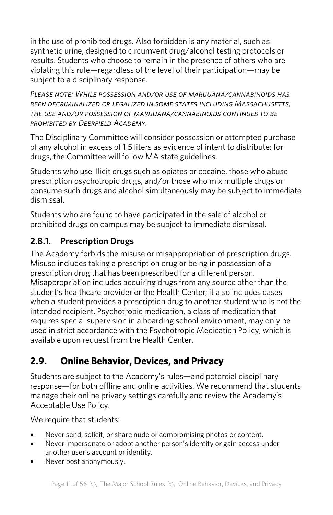in the use of prohibited drugs. Also forbidden is any material, such as synthetic urine, designed to circumvent drug/alcohol testing protocols or results. Students who choose to remain in the presence of others who are violating this rule—regardless of the level of their participation—may be subject to a disciplinary response.

*Please note: While possession and/or use of marijuana/cannabinoids has been decriminalized or legalized in some states including Massachusetts, the use and/or possession of marijuana/cannabinoids continues to be prohibited by Deerfield Academy.*

The Disciplinary Committee will consider possession or attempted purchase of any alcohol in excess of 1.5 liters as evidence of intent to distribute; for drugs, the Committee will follow MA state guidelines.

Students who use illicit drugs such as opiates or cocaine, those who abuse prescription psychotropic drugs, and/or those who mix multiple drugs or consume such drugs and alcohol simultaneously may be subject to immediate dismissal.

Students who are found to have participated in the sale of alcohol or prohibited drugs on campus may be subject to immediate dismissal.

# **2.8.1. Prescription Drugs**

The Academy forbids the misuse or misappropriation of prescription drugs. Misuse includes taking a prescription drug or being in possession of a prescription drug that has been prescribed for a different person. Misappropriation includes acquiring drugs from any source other than the student's healthcare provider or the Health Center; it also includes cases when a student provides a prescription drug to another student who is not the intended recipient. Psychotropic medication, a class of medication that requires special supervision in a boarding school environment, may only be used in strict accordance with the Psychotropic Medication Policy, which is available upon request from the Health Center.

# **2.9. Online Behavior, Devices, and Privacy**

Students are subject to the Academy's rules—and potential disciplinary response—for both offline and online activities. We recommend that students manage their online privacy settings carefully and review the Academy's Acceptable Use Policy.

We require that students:

- Never send, solicit, or share nude or compromising photos or content.
- Never impersonate or adopt another person's identity or gain access under another user's account or identity.
- Never post anonymously.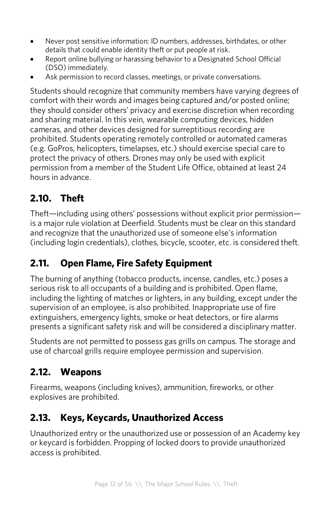- Never post sensitive information: ID numbers, addresses, birthdates, or other details that could enable identity theft or put people at risk.
- Report online bullying or harassing behavior to a Designated School Official (DSO) immediately.
- Ask permission to record classes, meetings, or private conversations.

Students should recognize that community members have varying degrees of comfort with their words and images being captured and/or posted online; they should consider others' privacy and exercise discretion when recording and sharing material. In this vein, wearable computing devices, hidden cameras, and other devices designed for surreptitious recording are prohibited. Students operating remotely controlled or automated cameras (e.g. GoPros, helicopters, timelapses, etc.) should exercise special care to protect the privacy of others. Drones may only be used with explicit permission from a member of the Student Life Office, obtained at least 24 hours in advance.

# **2.10. Theft**

Theft—including using others' possessions without explicit prior permission is a major rule violation at Deerfield. Students must be clear on this standard and recognize that the unauthorized use of someone else's information (including login credentials), clothes, bicycle, scooter, etc. is considered theft.

# **2.11. Open Flame, Fire Safety Equipment**

The burning of anything (tobacco products, incense, candles, etc.) poses a serious risk to all occupants of a building and is prohibited. Open flame, including the lighting of matches or lighters, in any building, except under the supervision of an employee, is also prohibited. Inappropriate use of fire extinguishers, emergency lights, smoke or heat detectors, or fire alarms presents a significant safety risk and will be considered a disciplinary matter.

Students are not permitted to possess gas grills on campus. The storage and use of charcoal grills require employee permission and supervision.

# **2.12. Weapons**

Firearms, weapons (including knives), ammunition, fireworks, or other explosives are prohibited.

# **2.13. Keys, Keycards, Unauthorized Access**

Unauthorized entry or the unauthorized use or possession of an Academy key or keycard is forbidden. Propping of locked doors to provide unauthorized access is prohibited.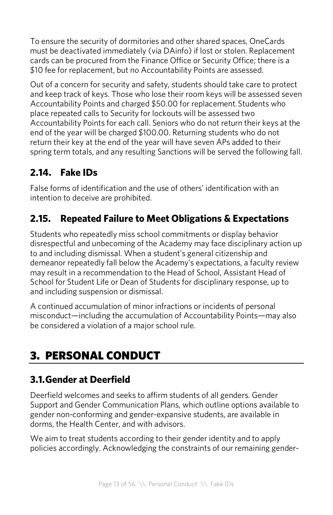To ensure the security of dormitories and other shared spaces, OneCards must be deactivated immediately (via DAinfo) if lost or stolen. Replacement cards can be procured from the Finance Office or Security Office; there is a \$10 fee for replacement, but no Accountability Points are assessed.

Out of a concern for security and safety, students should take care to protect and keep track of keys. Those who lose their room keys will be assessed seven Accountability Points and charged \$50.00 for replacement.Students who place repeated calls to Security for lockouts will be assessed two Accountability Points for each call. Seniors who do not return their keys at the end of the year will be charged \$100.00. Returning students who do not return their key at the end of the year will have seven APs added to their spring term totals, and any resulting Sanctions will be served the following fall.

# **2.14. Fake IDs**

False forms of identification and the use of others' identification with an intention to deceive are prohibited.

# **2.15. Repeated Failure to Meet Obligations & Expectations**

Students who repeatedly miss school commitments or display behavior disrespectful and unbecoming of the Academy may face disciplinary action up to and including dismissal. When a student's general citizenship and demeanor repeatedly fall below the Academy's expectations, a faculty review may result in a recommendation to the Head of School, Assistant Head of School for Student Life or Dean of Students for disciplinary response, up to and including suspension or dismissal.

A continued accumulation of minor infractions or incidents of personal misconduct—including the accumulation of Accountability Points—may also be considered a violation of a major school rule.

# 3. PERSONAL CONDUCT

# **3.1.Gender at Deerfield**

Deerfield welcomes and seeks to affirm students of all genders. Gender Support and Gender Communication Plans, which outline options available to gender non-conforming and gender-expansive students, are available in dorms, the Health Center, and with advisors.

We aim to treat students according to their gender identity and to apply policies accordingly. Acknowledging the constraints of our remaining gender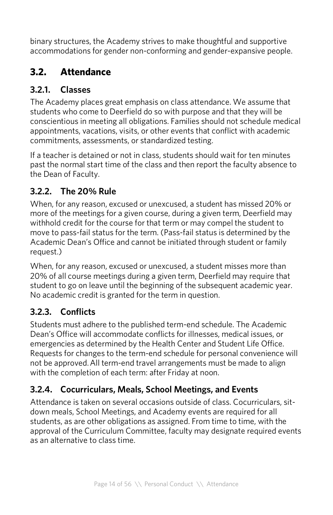binary structures, the Academy strives to make thoughtful and supportive accommodations for gender non-conforming and gender-expansive people.

# **3.2. Attendance**

### **3.2.1. Classes**

The Academy places great emphasis on class attendance. We assume that students who come to Deerfield do so with purpose and that they will be conscientious in meeting all obligations. Families should not schedule medical appointments, vacations, visits, or other events that conflict with academic commitments, assessments, or standardized testing.

If a teacher is detained or not in class, students should wait for ten minutes past the normal start time of the class and then report the faculty absence to the Dean of Faculty.

### **3.2.2. The 20% Rule**

When, for any reason, excused or unexcused, a student has missed 20% or more of the meetings for a given course, during a given term, Deerfield may withhold credit for the course for that term or may compel the student to move to pass-fail status for the term. (Pass-fail status is determined by the Academic Dean's Office and cannot be initiated through student or family request.)

When, for any reason, excused or unexcused, a student misses more than 20% of all course meetings during a given term, Deerfield may require that student to go on leave until the beginning of the subsequent academic year. No academic credit is granted for the term in question.

### **3.2.3. Conflicts**

Students must adhere to the published term-end schedule. The Academic Dean's Office will accommodate conflicts for illnesses, medical issues, or emergencies as determined by the Health Center and Student Life Office. Requests for changes to the term-end schedule for personal convenience will not be approved.All term-end travel arrangements must be made to align with the completion of each term: after Friday at noon.

## **3.2.4. Cocurriculars, Meals, School Meetings, and Events**

Attendance is taken on several occasions outside of class. Cocurriculars, sitdown meals, School Meetings, and Academy events are required for all students, as are other obligations as assigned. From time to time, with the approval of the Curriculum Committee, faculty may designate required events as an alternative to class time.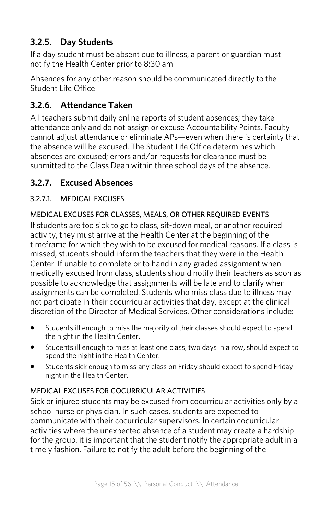### **3.2.5. Day Students**

If a day student must be absent due to illness, a parent or guardian must notify the Health Center prior to 8:30 am.

Absences for any other reason should be communicated directly to the Student Life Office.

### **3.2.6. Attendance Taken**

All teachers submit daily online reports of student absences; they take attendance only and do not assign or excuse Accountability Points. Faculty cannot adjust attendance or eliminate APs—even when there is certainty that the absence will be excused. The Student Life Office determines which absences are excused; errors and/or requests for clearance must be submitted to the Class Dean within three school days of the absence.

### **3.2.7. Excused Absences**

### 3.2.7.1. MEDICAL EXCUSES

### MEDICAL EXCUSES FOR CLASSES, MEALS, OR OTHER REQUIRED EVENTS

If students are too sick to go to class, sit-down meal, or another required activity, they must arrive at the Health Center at the beginning of the timeframe for which they wish to be excused for medical reasons. If a class is missed, students should inform the teachers that they were in the Health Center. If unable to complete or to hand in any graded assignment when medically excused from class, students should notify their teachers as soon as possible to acknowledge that assignments will be late and to clarify when assignments can be completed. Students who miss class due to illness may not participate in their cocurricular activities that day, except at the clinical discretion of the Director of Medical Services. Other considerations include:

- Students ill enough to miss the majority of their classes should expect to spend the night in the Health Center.
- Students ill enough to miss at least one class, two days in a row, should expect to spend the night inthe Health Center.
- Students sick enough to miss any class on Friday should expect to spend Friday night in the Health Center.

### MEDICAL EXCUSES FOR COCURRICULAR ACTIVITIES

Sick or injured students may be excused from cocurricular activities only by a school nurse or physician. In such cases, students are expected to communicate with their cocurricular supervisors. In certain cocurricular activities where the unexpected absence of a student may create a hardship for the group, it is important that the student notify the appropriate adult in a timely fashion. Failure to notify the adult before the beginning of the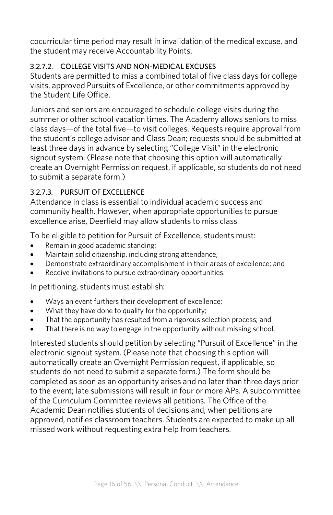cocurricular time period may result in invalidation of the medical excuse, and the student may receive Accountability Points.

### 3.2.7.2. COLLEGE VISITS AND NON-MEDICAL EXCUSES

Students are permitted to miss a combined total of five class days for college visits, approved Pursuits of Excellence, or other commitments approved by the Student Life Office.

Juniors and seniors are encouraged to schedule college visits during the summer or other school vacation times. The Academy allows seniors to miss class days—of the total five—to visit colleges. Requests require approval from the student's college advisor and Class Dean; requests should be submitted at least three days in advance by selecting "College Visit" in the electronic signout system. (Please note that choosing this option will automatically create an Overnight Permission request, if applicable, so students do not need to submit a separate form.)

#### 3.2.7.3. PURSUIT OF EXCELLENCE

Attendance in class is essential to individual academic success and community health. However, when appropriate opportunities to pursue excellence arise, Deerfield may allow students to miss class.

To be eligible to petition for Pursuit of Excellence, students must:

- Remain in good academic standing:
- Maintain solid citizenship, including strong attendance;
- Demonstrate extraordinary accomplishment in their areas of excellence; and
- Receive invitations to pursue extraordinary opportunities.

In petitioning, students must establish:

- Ways an event furthers their development of excellence:
- What they have done to qualify for the opportunity;
- That the opportunity has resulted from a rigorous selection process; and
- That there is no way to engage in the opportunity without missing school.

Interested students should petition by selecting "Pursuit of Excellence" in the electronic signout system. (Please note that choosing this option will automatically create an Overnight Permission request, if applicable, so students do not need to submit a separate form.) The form should be completed as soon as an opportunity arises and no later than three days prior to the event; late submissions will result in four or more APs. A subcommittee of the Curriculum Committee reviews all petitions. The Office of the Academic Dean notifies students of decisions and, when petitions are approved, notifies classroom teachers. Students are expected to make up all missed work without requesting extra help from teachers.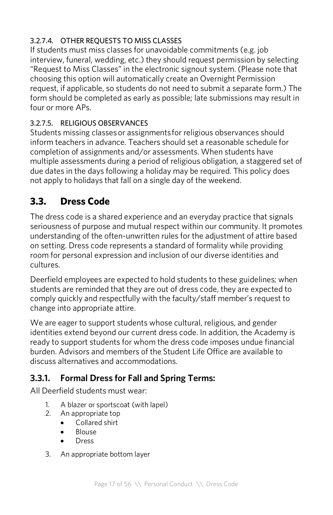### 3.2.7.4. OTHER REQUESTS TO MISS CLASSES

If students must miss classes for unavoidable commitments (e.g. job interview, funeral, wedding, etc.) they should request permission by selecting "Request to Miss Classes" in the electronic signout system. (Please note that choosing this option will automatically create an Overnight Permission request, if applicable, so students do not need to submit a separate form.) The form should be completed as early as possible; late submissions may result in four or more APs.

### 3.2.7.5. RELIGIOUS OBSERVANCES

Students missing classesor assignmentsfor religious observances should inform teachers in advance. Teachers should set a reasonable schedule for completion of assignments and/or assessments. When students have multiple assessments during a period of religious obligation, a staggered set of due dates in the days following a holiday may be required. This policy does not apply to holidays that fall on a single day of the weekend.

# **3.3. Dress Code**

The dress code is a shared experience and an everyday practice that signals seriousness of purpose and mutual respect within our community. It promotes understanding of the often-unwritten rules for the adjustment of attire based on setting. Dress code represents a standard of formality while providing room for personal expression and inclusion of our diverse identities and cultures.

Deerfield employees are expected to hold students to these guidelines; when students are reminded that they are out of dress code, they are expected to comply quickly and respectfully with the faculty/staff member's request to change into appropriate attire.

We are eager to support students whose cultural, religious, and gender identities extend beyond our current dress code. In addition, the Academy is ready to support students for whom the dress code imposes undue financial burden. Advisors and members of the Student Life Office are available to discuss alternatives and accommodations.

### **3.3.1. Formal Dress for Fall and Spring Terms:**

All Deerfield students must wear:

- 1. A blazer or sportscoat (with lapel)
- 2. An appropriate top
	- Collared shirt
	- Blouse
	- **Dress**
- 3. An appropriate bottom layer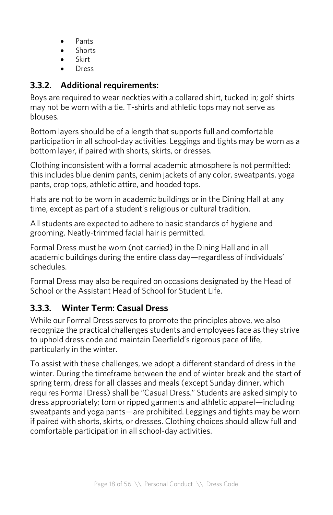- Pants
- Shorts
- Skirt
- Dress

### **3.3.2. Additional requirements:**

Boys are required to wear neckties with a collared shirt, tucked in; golf shirts may not be worn with a tie. T-shirts and athletic tops may not serve as blouses.

Bottom layers should be of a length that supports full and comfortable participation in all school-day activities. Leggings and tights may be worn as a bottom layer, if paired with shorts, skirts, or dresses.

Clothing inconsistent with a formal academic atmosphere is not permitted: this includes blue denim pants, denim jackets of any color, sweatpants, yoga pants, crop tops, athletic attire, and hooded tops.

Hats are not to be worn in academic buildings or in the Dining Hall at any time, except as part of a student's religious or cultural tradition.

All students are expected to adhere to basic standards of hygiene and grooming. Neatly-trimmed facial hair is permitted.

Formal Dress must be worn (not carried) in the Dining Hall and in all academic buildings during the entire class day—regardless of individuals' schedules.

Formal Dress may also be required on occasions designated by the Head of School or the Assistant Head of School for Student Life.

### **3.3.3. Winter Term: Casual Dress**

While our Formal Dress serves to promote the principles above, we also recognize the practical challenges students and employees face as they strive to uphold dress code and maintain Deerfield's rigorous pace of life, particularly in the winter.

To assist with these challenges, we adopt a different standard of dress in the winter. During the timeframe between the end of winter break and the start of spring term, dress for all classes and meals (except Sunday dinner, which requires Formal Dress) shall be "Casual Dress." Students are asked simply to dress appropriately; torn or ripped garments and athletic apparel—including sweatpants and yoga pants—are prohibited. Leggings and tights may be worn if paired with shorts, skirts, or dresses. Clothing choices should allow full and comfortable participation in all school-day activities.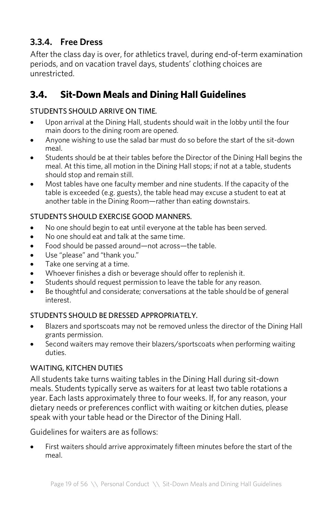# **3.3.4. Free Dress**

After the class day is over, for athletics travel, during end-of-term examination periods, and on vacation travel days, students' clothing choices are unrestricted.

# **3.4. Sit-Down Meals and Dining Hall Guidelines**

#### STUDENTS SHOULD ARRIVE ON TIME.

- Upon arrival at the Dining Hall, students should wait in the lobby until the four main doors to the dining room are opened.
- Anyone wishing to use the salad bar must do so before the start of the sit-down meal.
- Students should be at their tables before the Director of the Dining Hall begins the meal. At this time, all motion in the Dining Hall stops; if not at a table, students should stop and remain still.
- Most tables have one faculty member and nine students. If the capacity of the table is exceeded (e.g. guests), the table head may excuse a student to eat at another table in the Dining Room—rather than eating downstairs.

#### STUDENTS SHOULD EXERCISE GOOD MANNERS.

- No one should begin to eat until everyone at the table has been served.
- No one should eat and talk at the same time.
- Food should be passed around—not across—the table.
- Use "please" and "thank you."
- Take one serving at a time.
- Whoever finishes a dish or beverage should offer to replenish it.
- Students should request permission to leave the table for any reason.
- Be thoughtful and considerate; conversations at the table should be of general interest.

#### STUDENTS SHOULD BE DRESSED APPROPRIATELY.

- Blazers and sportscoats may not be removed unless the director of the Dining Hall grants permission.
- Second waiters may remove their blazers/sportscoats when performing waiting duties.

#### WAITING, KITCHEN DUTIES

All students take turns waiting tables in the Dining Hall during sit-down meals. Students typically serve as waiters for at least two table rotations a year. Each lasts approximately three to four weeks. If, for any reason, your dietary needs or preferences conflict with waiting or kitchen duties, please speak with your table head or the Director of the Dining Hall.

Guidelines for waiters are as follows:

• First waiters should arrive approximately fifteen minutes before the start of the meal.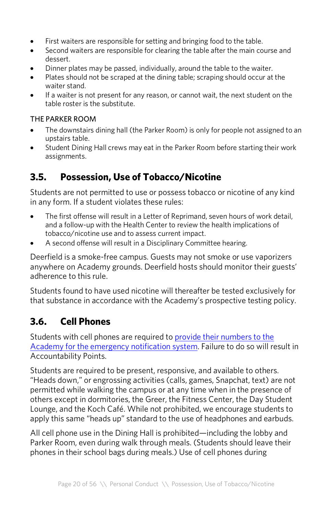- First waiters are responsible for setting and bringing food to the table.
- Second waiters are responsible for clearing the table after the main course and dessert.
- Dinner plates may be passed, individually, around the table to the waiter.
- Plates should not be scraped at the dining table; scraping should occur at the waiter stand.
- If a waiter is not present for any reason, or cannot wait, the next student on the table roster is the substitute.

#### THE PARKER ROOM

- The downstairs dining hall (the Parker Room) is only for people not assigned to an upstairs table.
- Student Dining Hall crews may eat in the Parker Room before starting their work assignments.

# **3.5. Possession, Use of Tobacco/Nicotine**

Students are not permitted to use or possess tobacco or nicotine of any kind in any form. If a student violates these rules:

- The first offense will result in a Letter of Reprimand, seven hours of work detail, and a follow-up with the Health Center to review the health implications of tobacco/nicotine use and to assess current impact.
- A second offense will result in a Disciplinary Committee hearing.

Deerfield is a smoke-free campus. Guests may not smoke or use vaporizers anywhere on Academy grounds. Deerfield hosts should monitor their guests' adherence to this rule.

Students found to have used nicotine will thereafter be tested exclusively for that substance in accordance with the Academy's prospective testing policy.

# **3.6. Cell Phones**

Students with cell phones are required to provide their numbers to the Academy for the emergency notification system. Failure to do so will result in Accountability Points.

Students are required to be present, responsive, and available to others. "Heads down," or engrossing activities (calls, games, Snapchat, text) are not permitted while walking the campus or at any time when in the presence of others except in dormitories, the Greer, the Fitness Center, the Day Student Lounge, and the Koch Café. While not prohibited, we encourage students to apply this same "heads up" standard to the use of headphones and earbuds.

All cell phone use in the Dining Hall is prohibited—including the lobby and Parker Room, even during walk through meals. (Students should leave their phones in their school bags during meals.) Use of cell phones during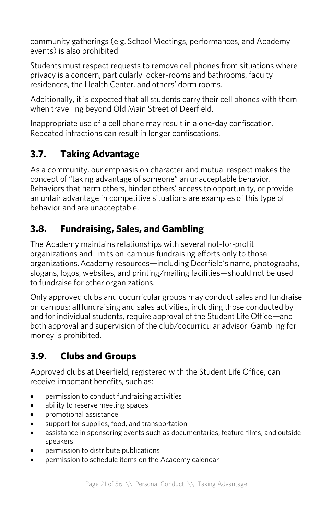community gatherings (e.g. School Meetings, performances, and Academy events) is also prohibited.

Students must respect requests to remove cell phones from situations where privacy is a concern, particularly locker-rooms and bathrooms, faculty residences, the Health Center, and others' dorm rooms.

Additionally, it is expected that all students carry their cell phones with them when travelling beyond Old Main Street of Deerfield.

Inappropriate use of a cell phone may result in a one-day confiscation. Repeated infractions can result in longer confiscations.

# **3.7. Taking Advantage**

As a community, our emphasis on character and mutual respect makes the concept of "taking advantage of someone" an unacceptable behavior. Behaviors that harm others, hinder others' access to opportunity, or provide an unfair advantage in competitive situations are examples of this type of behavior and are unacceptable.

# **3.8. Fundraising, Sales, and Gambling**

The Academy maintains relationships with several not-for-profit organizations and limits on-campus fundraising efforts only to those organizations.Academy resources—including Deerfield's name, photographs, slogans, logos, websites, and printing/mailing facilities—should not be used to fundraise for other organizations.

Only approved clubs and cocurricular groups may conduct sales and fundraise on campus; allfundraising and sales activities, including those conducted by and for individual students, require approval of the Student Life Office—and both approval and supervision of the club/cocurricular advisor. Gambling for money is prohibited.

# **3.9. Clubs and Groups**

Approved clubs at Deerfield, registered with the Student Life Office, can receive important benefits, such as:

- permission to conduct fundraising activities
- ability to reserve meeting spaces
- promotional assistance
- support for supplies, food, and transportation
- assistance in sponsoring events such as documentaries, feature films, and outside speakers
- permission to distribute publications
- permission to schedule items on the Academy calendar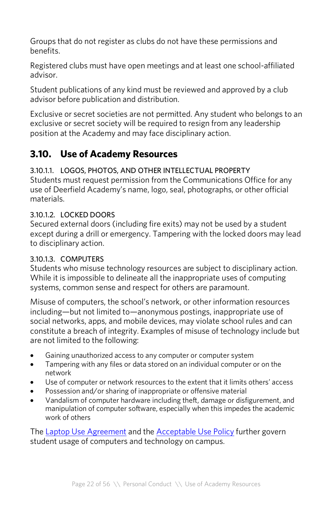Groups that do not register as clubs do not have these permissions and benefits.

Registered clubs must have open meetings and at least one school-affiliated advisor.

Student publications of any kind must be reviewed and approved by a club advisor before publication and distribution.

Exclusive or secret societies are not permitted. Any student who belongs to an exclusive or secret society will be required to resign from any leadership position at the Academy and may face disciplinary action.

# **3.10. Use of Academy Resources**

### 3.10.1.1. LOGOS, PHOTOS, AND OTHER INTELLECTUAL PROPERTY

Students must request permission from the Communications Office for any use of Deerfield Academy's name, logo, seal, photographs, or other official materials.

### 3.10.1.2. LOCKED DOORS

Secured external doors (including fire exits) may not be used by a student except during a drill or emergency. Tampering with the locked doors may lead to disciplinary action.

#### 3.10.1.3. COMPUTERS

Students who misuse technology resources are subject to disciplinary action. While it is impossible to delineate all the inappropriate uses of computing systems, common sense and respect for others are paramount.

Misuse of computers, the school's network, or other information resources including—but not limited to—anonymous postings, inappropriate use of social networks, apps, and mobile devices, may violate school rules and can constitute a breach of integrity. Examples of misuse of technology include but are not limited to the following:

- Gaining unauthorized access to any computer or computer system
- Tampering with any files or data stored on an individual computer or on the network
- Use of computer or network resources to the extent that it limits others' access
- Possession and/or sharing of inappropriate or offensive material
- Vandalism of computer hardware including theft, damage or disfigurement, and manipulation of computer software, especially when this impedes the academic work of others

The Laptop Use Agreement and the Acceptable Use Policy further govern student usage of computers and technology on campus.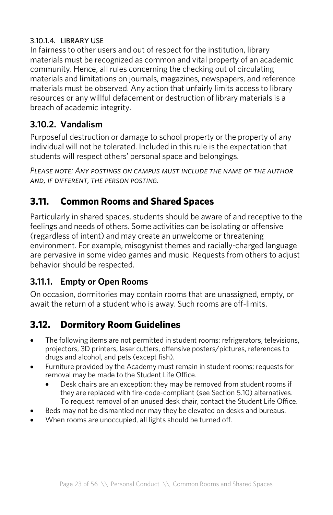#### 3.10.1.4. LIBRARY USE

In fairness to other users and out of respect for the institution, library materials must be recognized as common and vital property of an academic community. Hence, all rules concerning the checking out of circulating materials and limitations on journals, magazines, newspapers, and reference materials must be observed. Any action that unfairly limits access to library resources or any willful defacement or destruction of library materials is a breach of academic integrity.

### **3.10.2. Vandalism**

Purposeful destruction or damage to school property or the property of any individual will not be tolerated. Included in this rule is the expectation that students will respect others' personal space and belongings.

*Please note: Any postings on campus must include the name of the author and, if different, the person posting.*

# **3.11. Common Rooms and Shared Spaces**

Particularly in shared spaces, students should be aware of and receptive to the feelings and needs of others. Some activities can be isolating or offensive (regardless of intent) and may create an unwelcome or threatening environment. For example, misogynist themes and racially-charged language are pervasive in some video games and music. Requests from others to adjust behavior should be respected.

### **3.11.1. Empty or Open Rooms**

On occasion, dormitories may contain rooms that are unassigned, empty, or await the return of a student who is away. Such rooms are off-limits.

# **3.12. Dormitory Room Guidelines**

- The following items are not permitted in student rooms: refrigerators, televisions, projectors, 3D printers, laser cutters, offensive posters/pictures, references to drugs and alcohol, and pets (except fish).
- Furniture provided by the Academy must remain in student rooms; requests for removal may be made to the Student Life Office.
	- Desk chairs are an exception: they may be removed from student rooms if they are replaced with fire-code-compliant (see Section 5.10) alternatives. To request removal of an unused desk chair, contact the Student Life Office.
- Beds may not be dismantled nor may they be elevated on desks and bureaus.
- When rooms are unoccupied, all lights should be turned off.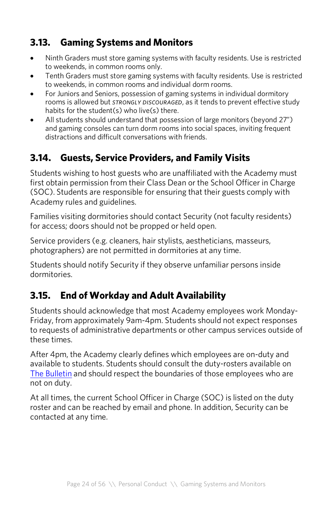# **3.13. Gaming Systems and Monitors**

- Ninth Graders must store gaming systems with faculty residents. Use is restricted to weekends, in common rooms only.
- Tenth Graders must store gaming systems with faculty residents. Use is restricted to weekends, in common rooms and individual dorm rooms.
- For Juniors and Seniors, possession of gaming systems in individual dormitory rooms is allowed but *strongly discouraged*, as it tends to prevent effective study habits for the student(s) who live(s) there
- All students should understand that possession of large monitors (beyond 27") and gaming consoles can turn dorm rooms into social spaces, inviting frequent distractions and difficult conversations with friends.

# **3.14. Guests, Service Providers, and Family Visits**

Students wishing to host guests who are unaffiliated with the Academy must first obtain permission from their Class Dean or the School Officer in Charge (SOC). Students are responsible for ensuring that their guests comply with Academy rules and guidelines.

Families visiting dormitories should contact Security (not faculty residents) for access; doors should not be propped or held open.

Service providers (e.g. cleaners, hair stylists, aestheticians, masseurs, photographers) are not permitted in dormitories at any time.

Students should notify Security if they observe unfamiliar persons inside dormitories.

# **3.15. End of Workday and Adult Availability**

Students should acknowledge that most Academy employees work Monday-Friday, from approximately 9am-4pm. Students should not expect responses to requests of administrative departments or other campus services outside of these times.

After 4pm, the Academy clearly defines which employees are on-duty and available to students. Students should consult the duty-rosters available on The Bulletin and should respect the boundaries of those employees who are not on duty.

At all times, the current School Officer in Charge (SOC) is listed on the duty roster and can be reached by email and phone. In addition, Security can be contacted at any time.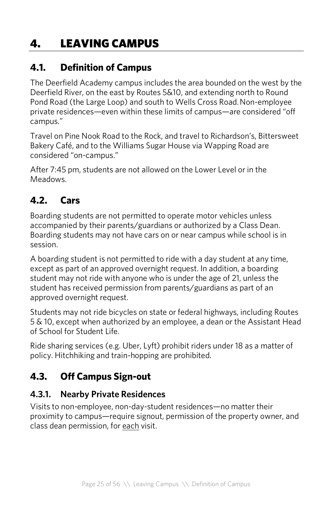# 4. LEAVING CAMPUS

# **4.1. Definition of Campus**

The Deerfield Academy campus includes the area bounded on the west by the Deerfield River, on the east by Routes 5&10, and extending north to Round Pond Road (the Large Loop) and south to Wells Cross Road.Non-employee private residences—even within these limits of campus—are considered "off campus."

Travel on Pine Nook Road to the Rock, and travel to Richardson's, Bittersweet Bakery Café, and to the Williams Sugar House via Wapping Road are considered "on-campus."

After 7:45 pm, students are not allowed on the Lower Level or in the Meadows.

# **4.2. Cars**

Boarding students are not permitted to operate motor vehicles unless accompanied by their parents/guardians or authorized by a Class Dean. Boarding students may not have cars on or near campus while school is in session.

A boarding student is not permitted to ride with a day student at any time, except as part of an approved overnight request. In addition, a boarding student may not ride with anyone who is under the age of 21, unless the student has received permission from parents/guardians as part of an approved overnight request.

Students may not ride bicycles on state or federal highways, including Routes 5 & 10, except when authorized by an employee, a dean or the Assistant Head of School for Student Life.

Ride sharing services (e.g. Uber, Lyft) prohibit riders under 18 as a matter of policy. Hitchhiking and train-hopping are prohibited.

# **4.3. Off Campus Sign-out**

### **4.3.1. Nearby Private Residences**

Visits to non-employee, non-day-student residences—no matter their proximity to campus—require signout, permission of the property owner, and class dean permission, for each visit.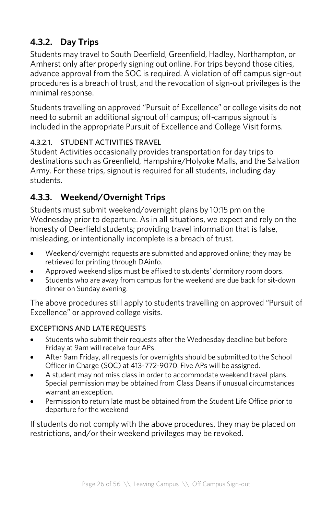# **4.3.2. Day Trips**

Students may travel to South Deerfield, Greenfield, Hadley, Northampton, or Amherst only after properly signing out online. For trips beyond those cities, advance approval from the SOC is required. A violation of off campus sign-out procedures is a breach of trust, and the revocation of sign-out privileges is the minimal response.

Students travelling on approved "Pursuit of Excellence" or college visits do not need to submit an additional signout off campus; off-campus signout is included in the appropriate Pursuit of Excellence and College Visit forms.

#### 4.3.2.1. STUDENT ACTIVITIES TRAVEL

Student Activities occasionally provides transportation for day trips to destinations such as Greenfield, Hampshire/Holyoke Malls, and the Salvation Army. For these trips, signout is required for all students, including day students.

### **4.3.3. Weekend/Overnight Trips**

Students must submit weekend/overnight plans by 10:15 pm on the Wednesday prior to departure. As in all situations, we expect and rely on the honesty of Deerfield students; providing travel information that is false, misleading, or intentionally incomplete is a breach of trust.

- Weekend/overnight requests are submitted and approved online; they may be retrieved for printing through DAinfo.
- Approved weekend slips must be affixed to students' dormitory room doors.
- Students who are away from campus for the weekend are due back for sit-down dinner on Sunday evening.

The above procedures still apply to students travelling on approved "Pursuit of Excellence" or approved college visits.

#### EXCEPTIONS AND LATE REQUESTS

- Students who submit their requests after the Wednesday deadline but before Friday at 9am will receive four APs.
- After 9am Friday, all requests for overnights should be submitted to the School Officer in Charge (SOC) at 413-772-9070. Five APs will be assigned.
- A student may not miss class in order to accommodate weekend travel plans. Special permission may be obtained from Class Deans if unusual circumstances warrant an exception.
- Permission to return late must be obtained from the Student Life Office prior to departure for the weekend

If students do not comply with the above procedures, they may be placed on restrictions, and/or their weekend privileges may be revoked.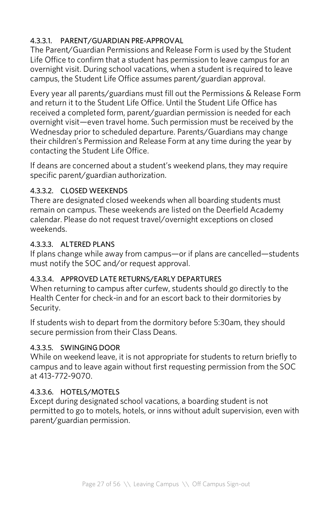### 4.3.3.1. PARENT/GUARDIAN PRE-APPROVAL

The Parent/Guardian Permissions and Release Form is used by the Student Life Office to confirm that a student has permission to leave campus for an overnight visit. During school vacations, when a student is required to leave campus, the Student Life Office assumes parent/guardian approval.

Every year all parents/guardians must fill out the Permissions & Release Form and return it to the Student Life Office. Until the Student Life Office has received a completed form, parent/guardian permission is needed for each overnight visit—even travel home. Such permission must be received by the Wednesday prior to scheduled departure. Parents/Guardians may change their children's Permission and Release Form at any time during the year by contacting the Student Life Office.

If deans are concerned about a student's weekend plans, they may require specific parent/guardian authorization.

#### 4.3.3.2. CLOSED WEEKENDS

There are designated closed weekends when all boarding students must remain on campus. These weekends are listed on the Deerfield Academy calendar. Please do not request travel/overnight exceptions on closed weekends.

#### 4.3.3.3. ALTERED PLANS

If plans change while away from campus—or if plans are cancelled—students must notify the SOC and/or request approval.

#### 4.3.3.4. APPROVED LATE RETURNS/EARLY DEPARTURES

When returning to campus after curfew, students should go directly to the Health Center for check-in and for an escort back to their dormitories by Security.

If students wish to depart from the dormitory before 5:30am, they should secure permission from their Class Deans.

#### 4.3.3.5. SWINGING DOOR

While on weekend leave, it is not appropriate for students to return briefly to campus and to leave again without first requesting permission from the SOC at 413-772-9070.

#### 4.3.3.6. HOTELS/MOTELS

Except during designated school vacations, a boarding student is not permitted to go to motels, hotels, or inns without adult supervision, even with parent/guardian permission.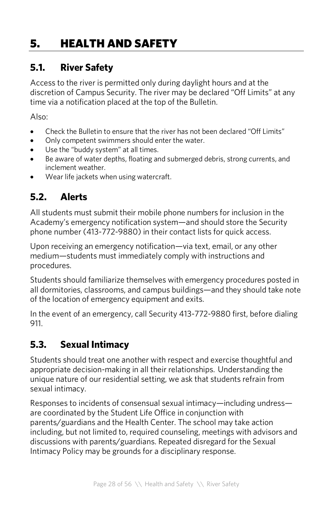# 5. HEALTH AND SAFETY

# **5.1. River Safety**

Access to the river is permitted only during daylight hours and at the discretion of Campus Security. The river may be declared "Off Limits" at any time via a notification placed at the top of the Bulletin.

Also:

- Check the Bulletin to ensure that the river has not been declared "Off Limits"
- Only competent swimmers should enter the water.
- Use the "buddy system" at all times.
- Be aware of water depths, floating and submerged debris, strong currents, and inclement weather.
- Wear life jackets when using watercraft.

# **5.2. Alerts**

All students must submit their mobile phone numbers for inclusion in the Academy's emergency notification system—and should store the Security phone number (413-772-9880) in their contact lists for quick access.

Upon receiving an emergency notification—via text, email, or any other medium—students must immediately comply with instructions and procedures.

Students should familiarize themselves with emergency procedures posted in all dormitories, classrooms, and campus buildings—and they should take note of the location of emergency equipment and exits.

In the event of an emergency, call Security 413-772-9880 first, before dialing 911.

# **5.3. Sexual Intimacy**

Students should treat one another with respect and exercise thoughtful and appropriate decision-making in all their relationships. Understanding the unique nature of our residential setting, we ask that students refrain from sexual intimacy.

Responses to incidents of consensual sexual intimacy—including undress are coordinated by the Student Life Office in conjunction with parents/guardians and the Health Center. The school may take action including, but not limited to, required counseling, meetings with advisors and discussions with parents/guardians. Repeated disregard for the Sexual Intimacy Policy may be grounds for a disciplinary response.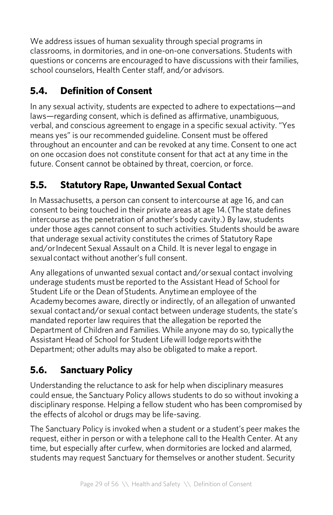We address issues of human sexuality through special programs in classrooms, in dormitories, and in one-on-one conversations. Students with questions or concerns are encouraged to have discussions with their families, school counselors, Health Center staff, and/or advisors.

# **5.4. Definition of Consent**

In any sexual activity, students are expected to adhere to expectations—and laws—regarding consent, which is defined as affirmative, unambiguous, verbal, and conscious agreement to engage in a specific sexual activity. "Yes means yes" is our recommended guideline. Consent must be offered throughout an encounter and can be revoked at any time. Consent to one act on one occasion does not constitute consent for that act at any time in the future. Consent cannot be obtained by threat, coercion, or force.

# **5.5. Statutory Rape, Unwanted Sexual Contact**

In Massachusetts, a person can consent to intercourse at age 16, and can consent to being touched in their private areas at age 14.(The state defines intercourse as the penetration of another's body cavity.) By law, students under those ages cannot consent to such activities. Students should be aware that underage sexual activity constitutes the crimes of Statutory Rape and/or Indecent Sexual Assault on a Child. It is never legal to engage in sexualcontact without another's full consent.

Any allegations of unwanted sexual contact and/orsexual contact involving underage students must be reported to the Assistant Head of School for Student Life or the Dean ofStudents. Anytimean employee of the Academybecomes aware, directly or indirectly, of an allegation of unwanted sexual contactand/or sexual contact between underage students, the state's mandated reporter law requires that the allegation be reported the Department of Children and Families. While anyone may do so, typicallythe Assistant Head of School for Student Lifewill lodge reportswiththe Department; other adults may also be obligated to make a report.

# **5.6. Sanctuary Policy**

Understanding the reluctance to ask for help when disciplinary measures could ensue, the Sanctuary Policy allows students to do so without invoking a disciplinary response. Helping a fellow student who has been compromised by the effects of alcohol or drugs may be life-saving.

The Sanctuary Policy is invoked when a student or a student's peer makes the request, either in person or with a telephone call to the Health Center. At any time, but especially after curfew, when dormitories are locked and alarmed, students may request Sanctuary for themselves or another student. Security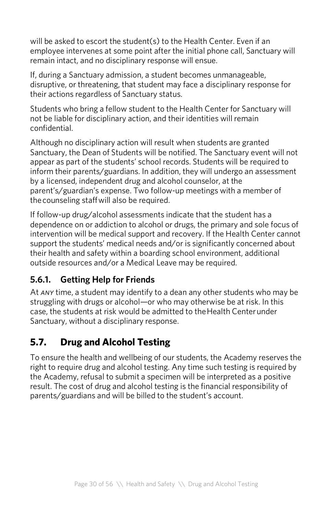will be asked to escort the student(s) to the Health Center. Even if an employee intervenes at some point after the initial phone call, Sanctuary will remain intact, and no disciplinary response will ensue.

If, during a Sanctuary admission, a student becomes unmanageable, disruptive, or threatening, that student may face a disciplinary response for their actions regardless of Sanctuary status.

Students who bring a fellow student to the Health Center for Sanctuary will not be liable for disciplinary action, and their identities will remain confidential.

Although no disciplinary action will result when students are granted Sanctuary, the Dean of Students will be notified. The Sanctuary event will not appear as part of the students' school records. Students will be required to inform their parents/guardians. In addition, they will undergo an assessment by a licensed, independent drug and alcohol counselor, at the parent's/guardian's expense. Two follow-up meetings with a member of thecounseling staffwill also be required.

If follow-up drug/alcohol assessments indicate that the student has a dependence on or addiction to alcohol or drugs, the primary and sole focus of intervention will be medical support and recovery. If the Health Center cannot support the students' medical needs and/or is significantly concerned about their health and safety within a boarding school environment, additional outside resources and/or a Medical Leave may be required.

### **5.6.1. Getting Help for Friends**

At *any* time, a student may identify to a dean any other students who may be struggling with drugs or alcohol—or who may otherwise be at risk. In this case, the students at risk would be admitted to theHealth Centerunder Sanctuary, without a disciplinary response.

# **5.7. Drug and Alcohol Testing**

To ensure the health and wellbeing of our students, the Academy reserves the right to require drug and alcohol testing. Any time such testing is required by the Academy, refusal to submit a specimen will be interpreted as a positive result. The cost of drug and alcohol testing is the financial responsibility of parents/guardians and will be billed to the student's account.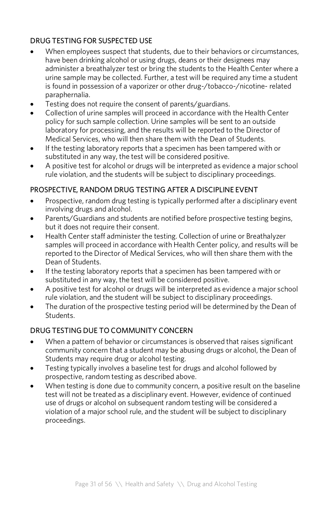#### DRUG TESTING FOR SUSPECTED USE

- When employees suspect that students, due to their behaviors or circumstances, have been drinking alcohol or using drugs, deans or their designees may administer a breathalyzer test or bring the students to the Health Center where a urine sample may be collected. Further, a test will be required any time a student is found in possession of a vaporizer or other drug-/tobacco-/nicotine- related paraphernalia.
- Testing does not require the consent of parents/guardians.
- Collection of urine samples will proceed in accordance with the Health Center policy for such sample collection. Urine samples will be sent to an outside laboratory for processing, and the results will be reported to the Director of Medical Services, who will then share them with the Dean of Students.
- If the testing laboratory reports that a specimen has been tampered with or substituted in any way, the test will be considered positive.
- A positive test for alcohol or drugs will be interpreted as evidence a major school rule violation, and the students will be subject to disciplinary proceedings.

#### PROSPECTIVE, RANDOM DRUG TESTING AFTER A DISCIPLINE EVENT

- Prospective, random drug testing is typically performed after a disciplinary event involving drugs and alcohol.
- Parents/Guardians and students are notified before prospective testing begins, but it does not require their consent.
- Health Center staff administer the testing. Collection of urine or Breathalyzer samples will proceed in accordance with Health Center policy, and results will be reported to the Director of Medical Services, who will then share them with the Dean of Students.
- If the testing laboratory reports that a specimen has been tampered with or substituted in any way, the test will be considered positive.
- A positive test for alcohol or drugs will be interpreted as evidence a major school rule violation, and the student will be subject to disciplinary proceedings.
- The duration of the prospective testing period will be determined by the Dean of Students.

#### DRUG TESTING DUE TO COMMUNITY CONCERN

- When a pattern of behavior or circumstances is observed that raises significant community concern that a student may be abusing drugs or alcohol, the Dean of Students may require drug or alcohol testing.
- Testing typically involves a baseline test for drugs and alcohol followed by prospective, random testing as described above.
- When testing is done due to community concern, a positive result on the baseline test will not be treated as a disciplinary event. However, evidence of continued use of drugs or alcohol on subsequent random testing will be considered a violation of a major school rule, and the student will be subject to disciplinary proceedings.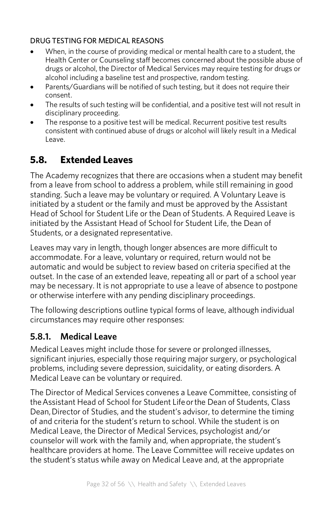#### DRUG TESTING FOR MEDICAL REASONS

- When, in the course of providing medical or mental health care to a student, the Health Center or Counseling staff becomes concerned about the possible abuse of drugs or alcohol, the Director of Medical Services may require testing for drugs or alcohol including a baseline test and prospective, random testing.
- Parents/Guardians will be notified of such testing, but it does not require their consent.
- The results of such testing will be confidential, and a positive test will not result in disciplinary proceeding.
- The response to a positive test will be medical. Recurrent positive test results consistent with continued abuse of drugs or alcohol will likely result in a Medical Leave.

# **5.8. Extended Leaves**

The Academy recognizes that there are occasions when a student may benefit from a leave from school to address a problem, while still remaining in good standing. Such a leave may be voluntary or required. A Voluntary Leave is initiated by a student or the family and must be approved by the Assistant Head of School for Student Life or the Dean of Students. A Required Leave is initiated by the Assistant Head of School for Student Life, the Dean of Students, or a designated representative.

Leaves may vary in length, though longer absences are more difficult to accommodate. For a leave, voluntary or required, return would not be automatic and would be subject to review based on criteria specified at the outset. In the case of an extended leave, repeating all or part of a school year may be necessary. It is not appropriate to use a leave of absence to postpone or otherwise interfere with any pending disciplinary proceedings.

The following descriptions outline typical forms of leave, although individual circumstances may require other responses:

### **5.8.1. Medical Leave**

Medical Leaves might include those for severe or prolonged illnesses, significant injuries, especially those requiring major surgery, or psychological problems, including severe depression, suicidality, or eating disorders. A Medical Leave can be voluntary or required.

The Director of Medical Services convenes a Leave Committee, consisting of theAssistant Head of School for Student Lifeorthe Dean of Students, Class Dean,Director of Studies, and the student's advisor, to determine the timing of and criteria for the student's return to school. While the student is on Medical Leave, the Director of Medical Services, psychologist and/or counselor will work with the family and, when appropriate, the student's healthcare providers at home. The Leave Committee will receive updates on the student's status while away on Medical Leave and, at the appropriate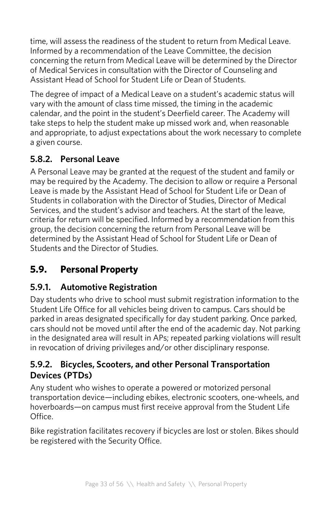time, will assess the readiness of the student to return from Medical Leave. Informed by a recommendation of the Leave Committee, the decision concerning the return from Medical Leave will be determined by the Director of Medical Services in consultation with the Director of Counseling and Assistant Head of School for Student Life or Dean of Students.

The degree of impact of a Medical Leave on a student's academic status will vary with the amount of class time missed, the timing in the academic calendar, and the point in the student's Deerfield career. The Academy will take steps to help the student make up missed work and, when reasonable and appropriate, to adjust expectations about the work necessary to complete a given course.

# **5.8.2. Personal Leave**

A Personal Leave may be granted at the request of the student and family or may be required by the Academy. The decision to allow or require a Personal Leave is made by the Assistant Head of School for Student Life or Dean of Students in collaboration with the Director of Studies, Director of Medical Services, and the student's advisor and teachers. At the start of the leave, criteria for return will be specified. Informed by a recommendation from this group, the decision concerning the return from Personal Leave will be determined by the Assistant Head of School for Student Life or Dean of Students and the Director of Studies.

# **5.9. Personal Property**

# **5.9.1. Automotive Registration**

Day students who drive to school must submit registration information to the Student Life Office for all vehicles being driven to campus. Cars should be parked in areas designated specifically for day student parking. Once parked, cars should not be moved until after the end of the academic day. Not parking in the designated area will result in APs; repeated parking violations will result in revocation of driving privileges and/or other disciplinary response.

### **5.9.2. Bicycles, Scooters, and other Personal Transportation Devices (PTDs)**

Any student who wishes to operate a powered or motorized personal transportation device—including ebikes, electronic scooters, one-wheels, and hoverboards—on campus must first receive approval from the Student Life Office.

Bike registration facilitates recovery if bicycles are lost or stolen. Bikes should be registered with the Security Office.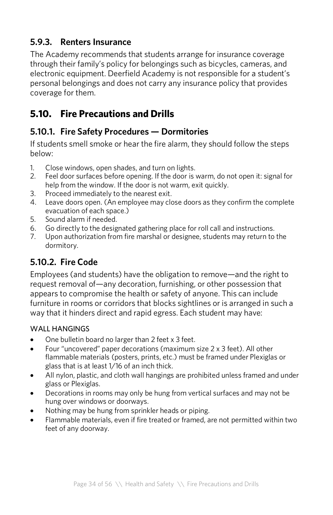### **5.9.3. Renters Insurance**

The Academy recommends that students arrange for insurance coverage through their family's policy for belongings such as bicycles, cameras, and electronic equipment. Deerfield Academy is not responsible for a student's personal belongings and does not carry any insurance policy that provides coverage for them.

# **5.10. Fire Precautions and Drills**

### **5.10.1. Fire Safety Procedures — Dormitories**

If students smell smoke or hear the fire alarm, they should follow the steps below:

- 1. Close windows, open shades, and turn on lights.
- 2. Feel door surfaces before opening. If the door is warm, do not open it: signal for help from the window. If the door is not warm, exit quickly.
- 3. Proceed immediately to the nearest exit.
- 4. Leave doors open. (An employee may close doors as they confirm the complete evacuation of each space.)
- 5. Sound alarm if needed.
- 6. Go directly to the designated gathering place for roll call and instructions.
- 7. Upon authorization from fire marshal or designee, students may return to the dormitory.

# **5.10.2. Fire Code**

Employees (and students) have the obligation to remove—and the right to request removal of—any decoration, furnishing, or other possession that appears to compromise the health or safety of anyone. This can include furniture in rooms or corridors that blocks sightlines or is arranged in such a way that it hinders direct and rapid egress. Each student may have:

#### WALL HANGINGS

- One bulletin board no larger than 2 feet x 3 feet.
- Four "uncovered" paper decorations (maximum size 2 x 3 feet). All other flammable materials (posters, prints, etc.) must be framed under Plexiglas or glass that is at least 1/16 of an inch thick.
- All nylon, plastic, and cloth wall hangings are prohibited unless framed and under glass or Plexiglas.
- Decorations in rooms may only be hung from vertical surfaces and may not be hung over windows or doorways.
- Nothing may be hung from sprinkler heads or piping.
- Flammable materials, even if fire treated or framed, are not permitted within two feet of any doorway.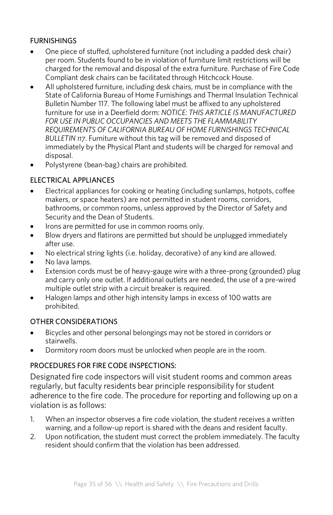#### FURNISHINGS

- One piece of stuffed, upholstered furniture (not including a padded desk chair) per room. Students found to be in violation of furniture limit restrictions will be charged for the removal and disposal of the extra furniture. Purchase of Fire Code Compliant desk chairs can be facilitated through Hitchcock House.
- All upholstered furniture, including desk chairs, must be in compliance with the State of California Bureau of Home Furnishings and Thermal Insulation Technical Bulletin Number 117. The following label must be affixed to any upholstered furniture for use in a Deerfield dorm: *NOTICE: THIS ARTICLE IS MANUFACTURED FOR USE IN PUBLIC OCCUPANCIES AND MEETS THE FLAMMABILITY REQUIREMENTS OF CALIFORNIA BUREAU OF HOME FURNISHINGS TECHNICAL BULLETIN 117*. Furniture without this tag will be removed and disposed of immediately by the Physical Plant and students will be charged for removal and disposal.
- Polystyrene (bean-bag) chairs are prohibited.

#### ELECTRICAL APPLIANCES

- Electrical appliances for cooking or heating (including sunlamps, hotpots, coffee makers, or space heaters) are not permitted in student rooms, corridors, bathrooms, or common rooms, unless approved by the Director of Safety and Security and the Dean of Students.
- Irons are permitted for use in common rooms only.
- Blow dryers and flatirons are permitted but should be unplugged immediately after use.
- No electrical string lights (i.e. holiday, decorative) of any kind are allowed.
- No lava lamps.
- Extension cords must be of heavy-gauge wire with a three-prong (grounded) plug and carry only one outlet. If additional outlets are needed, the use of a pre-wired multiple outlet strip with a circuit breaker is required.
- Halogen lamps and other high intensity lamps in excess of 100 watts are prohibited.

#### OTHER CONSIDERATIONS

- Bicycles and other personal belongings may not be stored in corridors or stairwells.
- Dormitory room doors must be unlocked when people are in the room.

#### PROCEDURES FOR FIRE CODE INSPECTIONS:

Designated fire code inspectors will visit student rooms and common areas regularly, but faculty residents bear principle responsibility for student adherence to the fire code. The procedure for reporting and following up on a violation is as follows:

- 1. When an inspector observes a fire code violation, the student receives a written warning, and a follow-up report is shared with the deans and resident faculty.
- 2. Upon notification, the student must correct the problem immediately. The faculty resident should confirm that the violation has been addressed.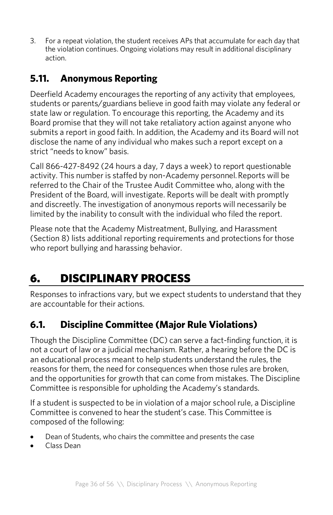3. For a repeat violation, the student receives APs that accumulate for each day that the violation continues. Ongoing violations may result in additional disciplinary action.

# **5.11. Anonymous Reporting**

Deerfield Academy encourages the reporting of any activity that employees, students or parents/guardians believe in good faith may violate any federal or state law or regulation. To encourage this reporting, the Academy and its Board promise that they will not take retaliatory action against anyone who submits a report in good faith. In addition, the Academy and its Board will not disclose the name of any individual who makes such a report except on a strict "needs to know" basis.

Call 866-427-8492 (24 hours a day, 7 days a week) to report questionable activity. This number is staffed by non-Academy personnel.Reports will be referred to the Chair of the Trustee Audit Committee who, along with the President of the Board, will investigate. Reports will be dealt with promptly and discreetly. The investigation of anonymous reports will necessarily be limited by the inability to consult with the individual who filed the report.

Please note that the Academy Mistreatment, Bullying, and Harassment (Section 8) lists additional reporting requirements and protections for those who report bullying and harassing behavior.

# 6. DISCIPLINARY PROCESS

Responses to infractions vary, but we expect students to understand that they are accountable for their actions.

# **6.1. Discipline Committee (Major Rule Violations)**

Though the Discipline Committee (DC) can serve a fact-finding function, it is not a court of law or a judicial mechanism. Rather, a hearing before the DC is an educational process meant to help students understand the rules, the reasons for them, the need for consequences when those rules are broken, and the opportunities for growth that can come from mistakes. The Discipline Committee is responsible for upholding the Academy's standards.

If a student is suspected to be in violation of a major school rule, a Discipline Committee is convened to hear the student's case. This Committee is composed of the following:

- Dean of Students, who chairs the committee and presents the case
- Class Dean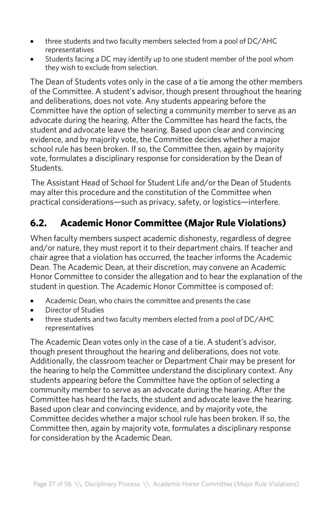- three students and two faculty members selected from a pool of DC/AHC representatives
- Students facing a DC may identify up to one student member of the pool whom they wish to exclude from selection.

The Dean of Students votes only in the case of a tie among the other members of the Committee. A student's advisor, though present throughout the hearing and deliberations, does not vote. Any students appearing before the Committee have the option of selecting a community member to serve as an advocate during the hearing. After the Committee has heard the facts, the student and advocate leave the hearing. Based upon clear and convincing evidence, and by majority vote, the Committee decides whether a major school rule has been broken. If so, the Committee then, again by majority vote, formulates a disciplinary response for consideration by the Dean of Students.

The Assistant Head of School for Student Life and/or the Dean of Students may alter this procedure and the constitution of the Committee when practical considerations—such as privacy, safety, or logistics—interfere.

# **6.2. Academic Honor Committee (Major Rule Violations)**

When faculty members suspect academic dishonesty, regardless of degree and/or nature, they must report it to their department chairs. If teacher and chair agree that a violation has occurred, the teacher informs the Academic Dean. The Academic Dean, at their discretion, may convene an Academic Honor Committee to consider the allegation and to hear the explanation of the student in question. The Academic Honor Committee is composed of:

- Academic Dean, who chairs the committee and presents the case
- Director of Studies
- three students and two faculty members elected from a pool of DC/AHC representatives

The Academic Dean votes only in the case of a tie. A student's advisor, though present throughout the hearing and deliberations, does not vote. Additionally, the classroom teacher or Department Chair may be present for the hearing to help the Committee understand the disciplinary context. Any students appearing before the Committee have the option of selecting a community member to serve as an advocate during the hearing. After the Committee has heard the facts, the student and advocate leave the hearing. Based upon clear and convincing evidence, and by majority vote, the Committee decides whether a major school rule has been broken. If so, the Committee then, again by majority vote, formulates a disciplinary response for consideration by the Academic Dean.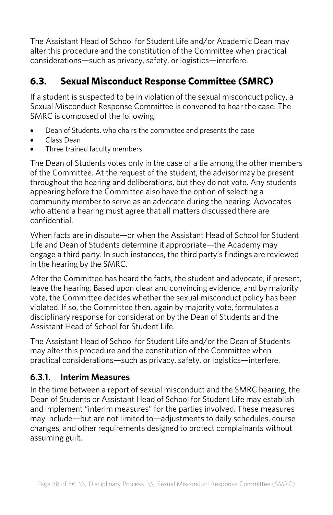The Assistant Head of School for Student Life and/or Academic Dean may alter this procedure and the constitution of the Committee when practical considerations—such as privacy, safety, or logistics—interfere.

# **6.3. Sexual Misconduct Response Committee (SMRC)**

If a student is suspected to be in violation of the sexual misconduct policy, a Sexual Misconduct Response Committee is convened to hear the case. The SMRC is composed of the following:

- Dean of Students, who chairs the committee and presents the case
- Class Dean
- Three trained faculty members

The Dean of Students votes only in the case of a tie among the other members of the Committee. At the request of the student, the advisor may be present throughout the hearing and deliberations, but they do not vote. Any students appearing before the Committee also have the option of selecting a community member to serve as an advocate during the hearing. Advocates who attend a hearing must agree that all matters discussed there are confidential.

When facts are in dispute—or when the Assistant Head of School for Student Life and Dean of Students determine it appropriate—the Academy may engage a third party. In such instances, the third party's findings are reviewed in the hearing by the SMRC.

After the Committee has heard the facts, the student and advocate, if present, leave the hearing. Based upon clear and convincing evidence, and by majority vote, the Committee decides whether the sexual misconduct policy has been violated. If so, the Committee then, again by majority vote, formulates a disciplinary response for consideration by the Dean of Students and the Assistant Head of School for Student Life.

The Assistant Head of School for Student Life and/or the Dean of Students may alter this procedure and the constitution of the Committee when practical considerations—such as privacy, safety, or logistics—interfere.

### **6.3.1. Interim Measures**

In the time between a report of sexual misconduct and the SMRC hearing, the Dean of Students or Assistant Head of School for Student Life may establish and implement "interim measures" for the parties involved. These measures may include—but are not limited to—adjustments to daily schedules, course changes, and other requirements designed to protect complainants without assuming guilt.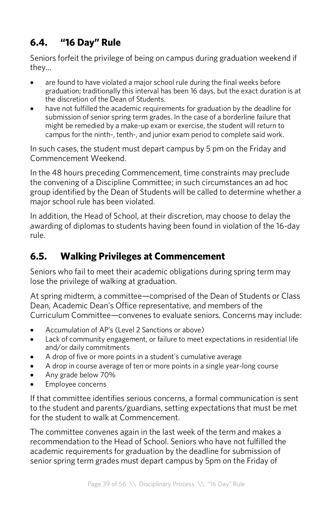# **6.4. "16 Day" Rule**

Seniors forfeit the privilege of being on campus during graduation weekend if they…

- are found to have violated a major school rule during the final weeks before graduation; traditionally this interval has been 16 days, but the exact duration is at the discretion of the Dean of Students.
- have not fulfilled the academic requirements for graduation by the deadline for submission of senior spring term grades. In the case of a borderline failure that might be remedied by a make-up exam or exercise, the student will return to campus for the ninth-, tenth-, and junior exam period to complete said work.

In such cases, the student must depart campus by 5 pm on the Friday and Commencement Weekend.

In the 48 hours preceding Commencement, time constraints may preclude the convening of a Discipline Committee; in such circumstances an ad hoc group identified by the Dean of Students will be called to determine whether a major school rule has been violated.

In addition, the Head of School, at their discretion, may choose to delay the awarding of diplomas to students having been found in violation of the 16-day rule.

# **6.5. Walking Privileges at Commencement**

Seniors who fail to meet their academic obligations during spring term may lose the privilege of walking at graduation.

At spring midterm, a committee—comprised of the Dean of Students or Class Dean, Academic Dean's Office representative, and members of the Curriculum Committee—convenes to evaluate seniors. Concerns may include:

- Accumulation of AP's (Level 2 Sanctions or above)
- Lack of community engagement, or failure to meet expectations in residential life and/or daily commitments
- A drop of five or more points in a student's cumulative average
- A drop in course average of ten or more points in a single year-long course
- Any grade below 70%
- Employee concerns

If that committee identifies serious concerns, a formal communication is sent to the student and parents/guardians, setting expectations that must be met for the student to walk at Commencement.

The committee convenes again in the last week of the term and makes a recommendation to the Head of School. Seniors who have not fulfilled the academic requirements for graduation by the deadline for submission of senior spring term grades must depart campus by 5pm on the Friday of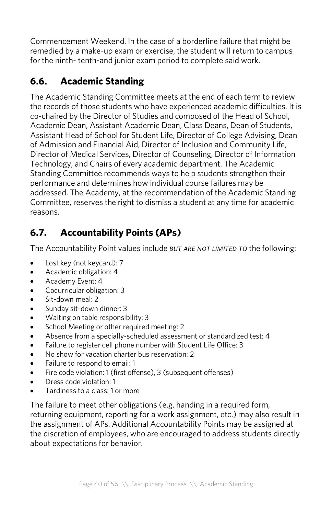Commencement Weekend. In the case of a borderline failure that might be remedied by a make-up exam or exercise, the student will return to campus for the ninth- tenth-and junior exam period to complete said work.

# **6.6. Academic Standing**

The Academic Standing Committee meets at the end of each term to review the records of those students who have experienced academic difficulties. It is co-chaired by the Director of Studies and composed of the Head of School, Academic Dean, Assistant Academic Dean, Class Deans, Dean of Students, Assistant Head of School for Student Life, Director of College Advising, Dean of Admission and Financial Aid, Director of Inclusion and Community Life, Director of Medical Services, Director of Counseling, Director of Information Technology, and Chairs of every academic department. The Academic Standing Committee recommends ways to help students strengthen their performance and determines how individual course failures may be addressed. The Academy, at the recommendation of the Academic Standing Committee, reserves the right to dismiss a student at any time for academic reasons.

# **6.7. Accountability Points (APs)**

The Accountability Point values include *but are not limited to* the following:

- Lost key (not keycard): 7
- Academic obligation: 4
- Academy Event: 4
- Cocurricular obligation: 3
- Sit-down meal: 2
- Sunday sit-down dinner: 3
- Waiting on table responsibility: 3
- School Meeting or other required meeting: 2
- Absence from a specially-scheduled assessment or standardized test: 4
- Failure to register cell phone number with Student Life Office: 3
- No show for vacation charter bus reservation: 2
- Failure to respond to email: 1
- Fire code violation: 1(first offense), 3 (subsequent offenses)
- Dress code violation: 1
- Tardiness to a class: 1 or more

The failure to meet other obligations (e.g. handing in a required form, returning equipment, reporting for a work assignment, etc.) may also result in the assignment of APs. Additional Accountability Points may be assigned at the discretion of employees, who are encouraged to address students directly about expectations for behavior.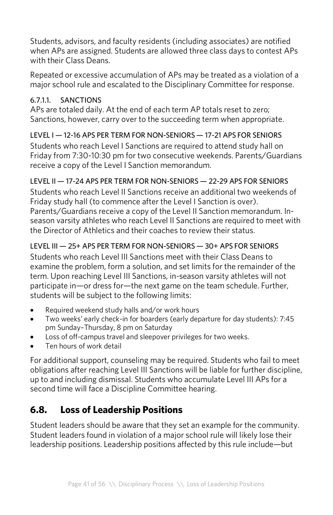Students, advisors, and faculty residents (including associates) are notified when APs are assigned. Students are allowed three class days to contest APs with their Class Deans.

Repeated or excessive accumulation of APs may be treated as a violation of a major school rule and escalated to the Disciplinary Committee for response.

#### 6.7.1.1. SANCTIONS

APs are totaled daily. At the end of each term AP totals reset to zero; Sanctions, however, carry over to the succeeding term when appropriate.

### LEVEL I — 12-16 APS PER TERM FOR NON-SENIORS — 17-21 APS FOR SENIORS

Students who reach Level I Sanctions are required to attend study hall on Friday from 7:30-10:30 pm for two consecutive weekends. Parents/Guardians receive a copy of the Level I Sanction memorandum.

### LEVEL II — 17-24 APS PER TERM FOR NON-SENIORS — 22-29 APS FOR SENIORS

Students who reach Level II Sanctions receive an additional two weekends of Friday study hall (to commence after the Level I Sanction is over). Parents/Guardians receive a copy of the Level II Sanction memorandum. Inseason varsity athletes who reach Level II Sanctions are required to meet with the Director of Athletics and their coaches to review their status.

### LEVEL III — 25+ APS PER TERM FOR NON-SENIORS — 30+ APS FOR SENIORS

Students who reach Level III Sanctions meet with their Class Deans to examine the problem, form a solution, and set limits for the remainder of the term. Upon reaching Level III Sanctions, in-season varsity athletes will not participate in—or dress for—the next game on the team schedule. Further, students will be subject to the following limits:

- Required weekend study halls and/or work hours
- Two weeks' early check-in for boarders (early departure for day students): 7:45 pm Sunday–Thursday, 8 pm on Saturday
- Loss of off-campus travel and sleepover privileges for two weeks.
- Ten hours of work detail

For additional support, counseling may be required. Students who fail to meet obligations after reaching Level III Sanctions will be liable for further discipline, up to and including dismissal. Students who accumulate Level III APs for a second time will face a Discipline Committee hearing.

# **6.8. Loss of Leadership Positions**

Student leaders should be aware that they set an example for the community. Student leaders found in violation of a major school rule will likely lose their leadership positions. Leadership positions affected by this rule include—but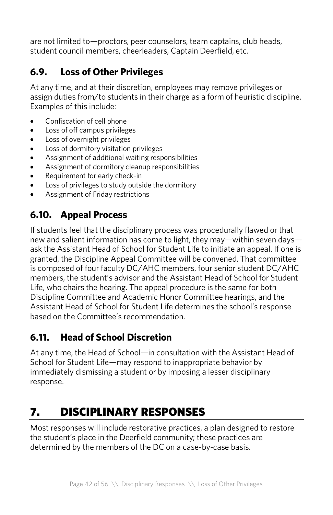are not limited to—proctors, peer counselors, team captains, club heads, student council members, cheerleaders, Captain Deerfield, etc.

# **6.9. Loss of Other Privileges**

At any time, and at their discretion, employees may remove privileges or assign duties from/to students in their charge as a form of heuristic discipline. Examples of this include:

- Confiscation of cell phone
- Loss of off campus privileges
- Loss of overnight privileges
- Loss of dormitory visitation privileges
- Assignment of additional waiting responsibilities
- Assignment of dormitory cleanup responsibilities
- Requirement for early check-in
- Loss of privileges to study outside the dormitory
- Assignment of Friday restrictions

# **6.10. Appeal Process**

If students feel that the disciplinary process was procedurally flawed or that new and salient information has come to light, they may—within seven days ask the Assistant Head of School for Student Life to initiate an appeal. If one is granted, the Discipline Appeal Committee will be convened. That committee is composed of four faculty DC/AHC members, four senior student DC/AHC members, the student's advisor and the Assistant Head of School for Student Life, who chairs the hearing. The appeal procedure is the same for both Discipline Committee and Academic Honor Committee hearings, and the Assistant Head of School for Student Life determines the school's response based on the Committee's recommendation.

### **6.11. Head of School Discretion**

At any time, the Head of School—in consultation with the Assistant Head of School for Student Life—may respond to inappropriate behavior by immediately dismissing a student or by imposing a lesser disciplinary response.

# 7. DISCIPLINARY RESPONSES

Most responses will include restorative practices, a plan designed to restore the student's place in the Deerfield community; these practices are determined by the members of the DC on a case-by-case basis.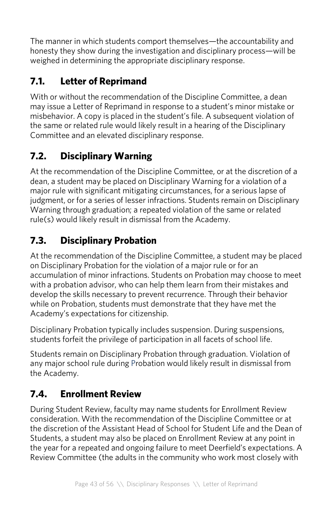The manner in which students comport themselves—the accountability and honesty they show during the investigation and disciplinary process—will be weighed in determining the appropriate disciplinary response.

# **7.1. Letter of Reprimand**

With or without the recommendation of the Discipline Committee, a dean may issue a Letter of Reprimand in response to a student's minor mistake or misbehavior. A copy is placed in the student's file. A subsequent violation of the same or related rule would likely result in a hearing of the Disciplinary Committee and an elevated disciplinary response.

# **7.2. Disciplinary Warning**

At the recommendation of the Discipline Committee, or at the discretion of a dean, a student may be placed on Disciplinary Warning for a violation of a major rule with significant mitigating circumstances, for a serious lapse of judgment, or for a series of lesser infractions. Students remain on Disciplinary Warning through graduation; a repeated violation of the same or related rule(s) would likely result in dismissal from the Academy.

# **7.3. Disciplinary Probation**

At the recommendation of the Discipline Committee, a student may be placed on Disciplinary Probation for the violation of a major rule or for an accumulation of minor infractions. Students on Probation may choose to meet with a probation advisor, who can help them learn from their mistakes and develop the skills necessary to prevent recurrence. Through their behavior while on Probation, students must demonstrate that they have met the Academy's expectations for citizenship.

Disciplinary Probation typically includes suspension. During suspensions, students forfeit the privilege of participation in all facets of school life.

Students remain on Disciplinary Probation through graduation. Violation of any major school rule during Probation would likely result in dismissal from the Academy.

# **7.4. Enrollment Review**

During Student Review, faculty may name students for Enrollment Review consideration. With the recommendation of the Discipline Committee or at the discretion of the Assistant Head of School for Student Life and the Dean of Students, a student may also be placed on Enrollment Review at any point in the year for a repeated and ongoing failure to meet Deerfield's expectations. A Review Committee (the adults in the community who work most closely with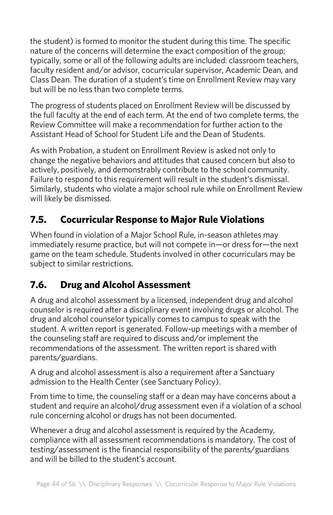the student) is formed to monitor the student during this time. The specific nature of the concerns will determine the exact composition of the group; typically, some or all of the following adults are included: classroom teachers, faculty resident and/or advisor, cocurricular supervisor, Academic Dean, and Class Dean. The duration of a student's time on Enrollment Review may vary but will be no less than two complete terms.

The progress of students placed on Enrollment Review will be discussed by the full faculty at the end of each term. At the end of two complete terms, the Review Committee will make a recommendation for further action to the Assistant Head of School for Student Life and the Dean of Students.

As with Probation, a student on Enrollment Review is asked not only to change the negative behaviors and attitudes that caused concern but also to actively, positively, and demonstrably contribute to the school community. Failure to respond to this requirement will result in the student's dismissal. Similarly, students who violate a major school rule while on Enrollment Review will likely be dismissed.

# **7.5. Cocurricular Response to Major Rule Violations**

When found in violation of a Major School Rule, in-season athletes may immediately resume practice, but will not compete in—or dress for—the next game on the team schedule. Students involved in other cocurriculars may be subject to similar restrictions.

# **7.6. Drug and Alcohol Assessment**

A drug and alcohol assessment by a licensed, independent drug and alcohol counselor is required after a disciplinary event involving drugs or alcohol. The drug and alcohol counselor typically comes to campus to speak with the student. A written report is generated. Follow-up meetings with a member of the counseling staff are required to discuss and/or implement the recommendations of the assessment. The written report is shared with parents/guardians.

A drug and alcohol assessment is also a requirement after a Sanctuary admission to the Health Center (see Sanctuary Policy).

From time to time, the counseling staff or a dean may have concerns about a student and require an alcohol/drug assessment even if a violation of a school rule concerning alcohol or drugs has not been documented.

Whenever a drug and alcohol assessment is required by the Academy, compliance with all assessment recommendations is mandatory. The cost of testing/assessment is the financial responsibility of the parents/guardians and will be billed to the student's account.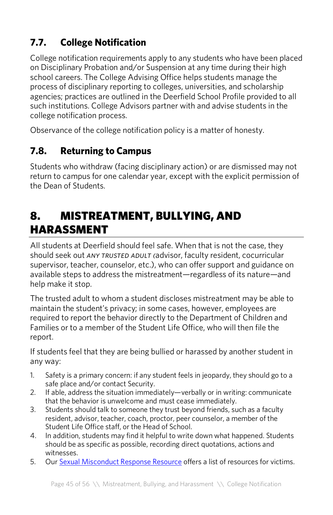# **7.7. College Notification**

College notification requirements apply to any students who have been placed on Disciplinary Probation and/or Suspension at any time during their high school careers. The College Advising Office helps students manage the process of disciplinary reporting to colleges, universities, and scholarship agencies; practices are outlined in the Deerfield School Profile provided to all such institutions. College Advisors partner with and advise students in the college notification process.

Observance of the college notification policy is a matter of honesty.

# **7.8. Returning to Campus**

Students who withdraw (facing disciplinary action) or are dismissed may not return to campus for one calendar year, except with the explicit permission of the Dean of Students.

# 8. MISTREATMENT, BULLYING, AND HARASSMENT

All students at Deerfield should feel safe. When that is not the case, they should seek out *any trusted adult (*advisor, faculty resident, cocurricular supervisor, teacher, counselor, etc.), who can offer support and guidance on available steps to address the mistreatment—regardless of its nature—and help make it stop.

The trusted adult to whom a student discloses mistreatment may be able to maintain the student's privacy; in some cases, however, employees are required to report the behavior directly to the Department of Children and Families or to a member of the Student Life Office, who will then file the report.

If students feel that they are being bullied or harassed by another student in any way:

- 1. Safety is a primary concern: if any student feels in jeopardy, they should go to a safe place and/or contact Security.
- 2. If able, address the situation immediately—verbally or in writing: communicate that the behavior is unwelcome and must cease immediately.
- 3. Students should talk to someone they trust beyond friends, such as a faculty resident, advisor, teacher, coach, proctor, peer counselor, a member of the Student Life Office staff, or the Head of School.
- 4. In addition, students may find it helpful to write down what happened. Students should be as specific as possible, recording direct quotations, actions and witnesses.
- 5. Our Sexual Misconduct Response Resource offers a list of resources for victims.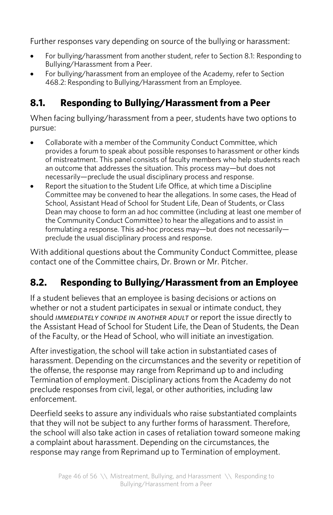Further responses vary depending on source of the bullying or harassment:

- For bullying/harassment from another student, refer to Section 8.1: Responding to Bullying/Harassment from a Peer.
- For bullying/harassment from an employee of the Academy, refer to Section 468.2: Responding to Bullying/Harassment from an Employee.

# **8.1. Responding to Bullying/Harassment from a Peer**

When facing bullying/harassment from a peer, students have two options to pursue:

- Collaborate with a member of the Community Conduct Committee, which provides a forum to speak about possible responses to harassment or other kinds of mistreatment. This panel consists of faculty members who help students reach an outcome that addresses the situation. This process may—but does not necessarily—preclude the usual disciplinary process and response.
- Report the situation to the Student Life Office, at which time a Discipline Committee may be convened to hear the allegations. In some cases, the Head of School, Assistant Head of School for Student Life, Dean of Students, or Class Dean may choose to form an ad hoc committee (including at least one member of the Community Conduct Committee) to hear the allegations and to assist in formulating a response. This ad-hoc process may—but does not necessarily preclude the usual disciplinary process and response.

With additional questions about the Community Conduct Committee, please contact one of the Committee chairs, Dr. Brown or Mr. Pitcher.

# **8.2. Responding to Bullying/Harassment from an Employee**

If a student believes that an employee is basing decisions or actions on whether or not a student participates in sexual or intimate conduct, they should *immediately confide in another adult* or report the issue directly to the Assistant Head of School for Student Life, the Dean of Students, the Dean of the Faculty, or the Head of School, who will initiate an investigation.

After investigation, the school will take action in substantiated cases of harassment. Depending on the circumstances and the severity or repetition of the offense, the response may range from Reprimand up to and including Termination of employment. Disciplinary actions from the Academy do not preclude responses from civil, legal, or other authorities, including law enforcement.

Deerfield seeks to assure any individuals who raise substantiated complaints that they will not be subject to any further forms of harassment. Therefore, the school will also take action in cases of retaliation toward someone making a complaint about harassment. Depending on the circumstances, the response may range from Reprimand up to Termination of employment.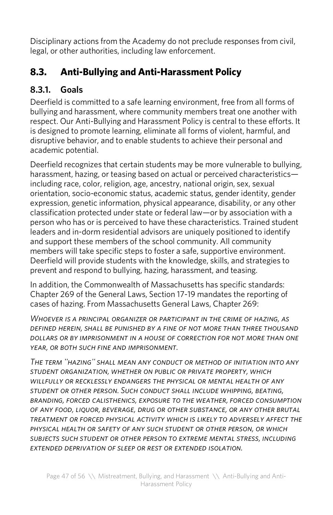Disciplinary actions from the Academy do not preclude responses from civil, legal, or other authorities, including law enforcement.

# **8.3. Anti-Bullying and Anti-Harassment Policy**

# **8.3.1. Goals**

Deerfield is committed to a safe learning environment, free from all forms of bullying and harassment, where community members treat one another with respect. Our Anti-Bullying and Harassment Policy is central to these efforts. It is designed to promote learning, eliminate all forms of violent, harmful, and disruptive behavior, and to enable students to achieve their personal and academic potential.

Deerfield recognizes that certain students may be more vulnerable to bullying, harassment, hazing, or teasing based on actual or perceived characteristicsincluding race, color, religion, age, ancestry, national origin, sex, sexual orientation, socio-economic status, academic status, gender identity, gender expression, genetic information, physical appearance, disability, or any other classification protected under state or federal law—or by association with a person who has or is perceived to have these characteristics. Trained student leaders and in-dorm residential advisors are uniquely positioned to identify and support these members of the school community. All community members will take specific steps to foster a safe, supportive environment. Deerfield will provide students with the knowledge, skills, and strategies to prevent and respond to bullying, hazing, harassment, and teasing.

In addition, the Commonwealth of Massachusetts has specific standards: Chapter 269 of the General Laws, Section 17-19 mandates the reporting of cases of hazing. From Massachusetts General Laws, Chapter 269:

*Whoever is a principal organizer or participant in the crime of hazing, as defined herein, shall be punished by a fine of not more than three thousand dollars or by imprisonment in a house of correction for not more than one year, or both such fine and imprisonment.*

*The term ''hazing'' shall mean any conduct or method of initiation into any student organization, whether on public or private property, which willfully or recklessly endangers the physical or mental health of any student or other person. Such conduct shall include whipping, beating, branding, forced calisthenics, exposure to the weather, forced consumption of any food, liquor, beverage, drug or other substance, or any other brutal treatment or forced physical activity which is likely to adversely affect the physical health or safety of any such student or other person, or which subjects such student or other person to extreme mental stress, including extended deprivation of sleep or rest or extended isolation.*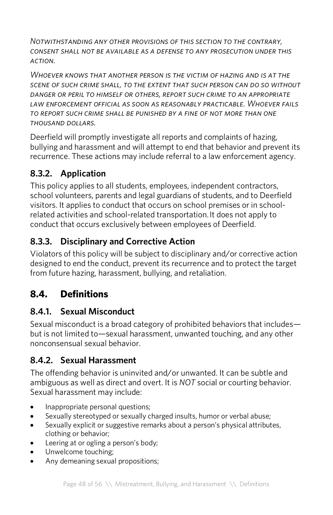*Notwithstanding any other provisions of this section to the contrary, consent shall not be available as a defense to any prosecution under this action.*

*Whoever knows that another person is the victim of hazing and is at the scene of such crime shall, to the extent that such person can do so without danger or peril to himself or others, report such crime to an appropriate law enforcement official as soon as reasonably practicable. Whoever fails to report such crime shall be punished by a fine of not more than one thousand dollars.*

Deerfield will promptly investigate all reports and complaints of hazing, bullying and harassment and will attempt to end that behavior and prevent its recurrence. These actions may include referral to a law enforcement agency.

### **8.3.2. Application**

This policy applies to all students, employees, independent contractors, school volunteers, parents and legal guardians of students, and to Deerfield visitors. It applies to conduct that occurs on school premises or in schoolrelated activities and school-related transportation.It does not apply to conduct that occurs exclusively between employees of Deerfield.

### **8.3.3. Disciplinary and Corrective Action**

Violators of this policy will be subject to disciplinary and/or corrective action designed to end the conduct, prevent its recurrence and to protect the target from future hazing, harassment, bullying, and retaliation.

# **8.4. Definitions**

### **8.4.1. Sexual Misconduct**

Sexual misconduct is a broad category of prohibited behaviors that includes but is not limited to—sexual harassment, unwanted touching, and any other nonconsensual sexual behavior.

### **8.4.2. Sexual Harassment**

The offending behavior is uninvited and/or unwanted. It can be subtle and ambiguous as well as direct and overt. It is *NOT* social or courting behavior. Sexual harassment may include:

- Inappropriate personal questions;
- Sexually stereotyped or sexually charged insults, humor or verbal abuse;
- Sexually explicit or suggestive remarks about a person's physical attributes, clothing or behavior;
- Leering at or ogling a person's body;
- Unwelcome touching;
- Any demeaning sexual propositions;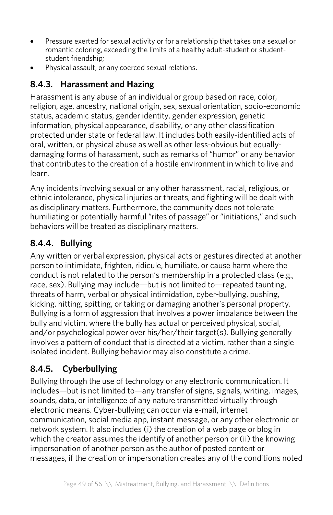- Pressure exerted for sexual activity or for a relationship that takes on a sexual or romantic coloring, exceeding the limits of a healthy adult-student or studentstudent friendship;
- Physical assault, or any coerced sexual relations.

# **8.4.3. Harassment and Hazing**

Harassment is any abuse of an individual or group based on race, color, religion, age, ancestry, national origin, sex, sexual orientation, socio-economic status, academic status, gender identity, gender expression, genetic information, physical appearance, disability, or any other classification protected under state or federal law. It includes both easily-identified acts of oral, written, or physical abuse as well as other less-obvious but equallydamaging forms of harassment, such as remarks of "humor" or any behavior that contributes to the creation of a hostile environment in which to live and learn.

Any incidents involving sexual or any other harassment, racial, religious, or ethnic intolerance, physical injuries or threats, and fighting will be dealt with as disciplinary matters. Furthermore, the community does not tolerate humiliating or potentially harmful "rites of passage" or "initiations," and such behaviors will be treated as disciplinary matters.

# **8.4.4. Bullying**

Any written or verbal expression, physical acts or gestures directed at another person to intimidate, frighten, ridicule, humiliate, or cause harm where the conduct is not related to the person's membership in a protected class (e.g., race, sex). Bullying may include—but is not limited to—repeated taunting, threats of harm, verbal or physical intimidation, cyber-bullying, pushing, kicking, hitting, spitting, or taking or damaging another's personal property. Bullying is a form of aggression that involves a power imbalance between the bully and victim, where the bully has actual or perceived physical, social, and/or psychological power over his/her/their target(s). Bullying generally involves a pattern of conduct that is directed at a victim, rather than a single isolated incident. Bullying behavior may also constitute a crime.

# **8.4.5. Cyberbullying**

Bullying through the use of technology or any electronic communication. It includes—but is not limited to—any transfer of signs, signals, writing, images, sounds, data, or intelligence of any nature transmitted virtually through electronic means. Cyber-bullying can occur via e-mail, internet communication, social media app, instant message, or any other electronic or network system. It also includes (i) the creation of a web page or blog in which the creator assumes the identify of another person or (ii) the knowing impersonation of another person as the author of posted content or messages, if the creation or impersonation creates any of the conditions noted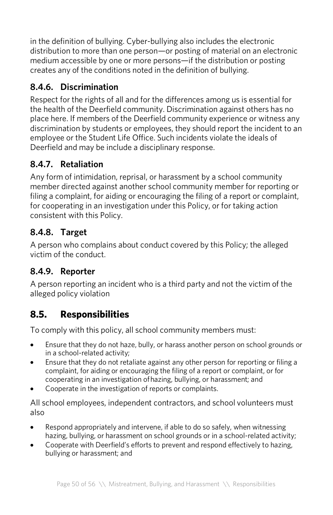in the definition of bullying. Cyber-bullying also includes the electronic distribution to more than one person—or posting of material on an electronic medium accessible by one or more persons—if the distribution or posting creates any of the conditions noted in the definition of bullying.

# **8.4.6. Discrimination**

Respect for the rights of all and for the differences among us is essential for the health of the Deerfield community. Discrimination against others has no place here. If members of the Deerfield community experience or witness any discrimination by students or employees, they should report the incident to an employee or the Student Life Office. Such incidents violate the ideals of Deerfield and may be include a disciplinary response.

# **8.4.7. Retaliation**

Any form of intimidation, reprisal, or harassment by a school community member directed against another school community member for reporting or filing a complaint, for aiding or encouraging the filing of a report or complaint, for cooperating in an investigation under this Policy, or for taking action consistent with this Policy.

### **8.4.8. Target**

A person who complains about conduct covered by this Policy; the alleged victim of the conduct.

### **8.4.9. Reporter**

A person reporting an incident who is a third party and not the victim of the alleged policy violation

# **8.5. Responsibilities**

To comply with this policy, all school community members must:

- Ensure that they do not haze, bully, or harass another person on school grounds or in a school-related activity;
- Ensure that they do not retaliate against any other person for reporting or filing a complaint, for aiding or encouraging the filing of a report or complaint, or for cooperating in an investigation ofhazing, bullying, or harassment; and
- Cooperate in the investigation of reports or complaints.

All school employees, independent contractors, and school volunteers must also

- Respond appropriately and intervene, if able to do so safely, when witnessing hazing, bullying, or harassment on school grounds or in a school-related activity;
- Cooperate with Deerfield's efforts to prevent and respond effectively to hazing, bullying or harassment; and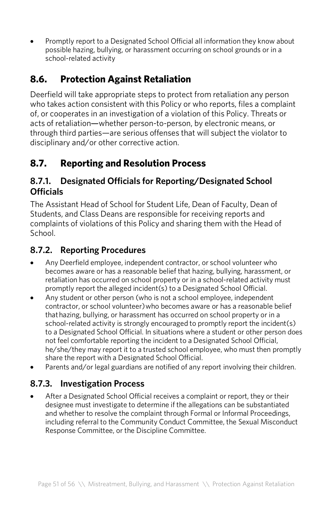• Promptly report to a Designated School Official all information they know about possible hazing, bullying, or harassment occurring on school grounds or in a school-related activity

# **8.6. Protection Against Retaliation**

Deerfield will take appropriate steps to protect from retaliation any person who takes action consistent with this Policy or who reports, files a complaint of, or cooperates in an investigation of a violation of this Policy. Threats or acts of retaliation—whether person-to-person, by electronic means, or through third parties—are serious offenses that will subject the violator to disciplinary and/or other corrective action.

# **8.7. Reporting and Resolution Process**

### **8.7.1. Designated Officials for Reporting/Designated School Officials**

The Assistant Head of School for Student Life, Dean of Faculty, Dean of Students, and Class Deans are responsible for receiving reports and complaints of violations of this Policy and sharing them with the Head of School.

### **8.7.2. Reporting Procedures**

- Any Deerfield employee, independent contractor, or school volunteer who becomes aware or has a reasonable belief that hazing, bullying, harassment, or retaliation has occurred on school property or in a school-related activity must promptly report the alleged incident(s) to a Designated School Official.
- Any student or other person (who is not a school employee, independent contractor, or school volunteer)who becomes aware or has a reasonable belief thathazing, bullying, or harassment has occurred on school property or in a school-related activity is strongly encouraged to promptly report the incident(s) to a Designated School Official. In situations where a student or other person does not feel comfortable reporting the incident to a Designated School Official, he/she/they may report it to a trusted school employee, who must then promptly share the report with a Designated School Official.
- Parents and/or legal guardians are notified of any report involving their children.

### **8.7.3. Investigation Process**

After a Designated School Official receives a complaint or report, they or their designee must investigate to determine if the allegations can be substantiated and whether to resolve the complaint through Formal or Informal Proceedings, including referral to the Community Conduct Committee, the Sexual Misconduct Response Committee, or the Discipline Committee.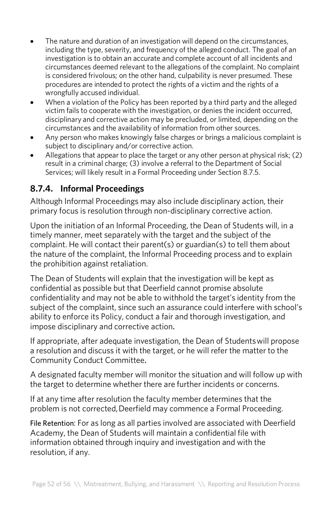- The nature and duration of an investigation will depend on the circumstances, including the type, severity, and frequency of the alleged conduct. The goal of an investigation is to obtain an accurate and complete account of all incidents and circumstances deemed relevant to the allegations of the complaint. No complaint is considered frivolous; on the other hand, culpability is never presumed. These procedures are intended to protect the rights of a victim and the rights of a wrongfully accused individual.
- When a violation of the Policy has been reported by a third party and the alleged victim fails to cooperate with the investigation, or denies the incident occurred, disciplinary and corrective action may be precluded, or limited, depending on the circumstances and the availability of information from other sources.
- Any person who makes knowingly false charges or brings a malicious complaint is subject to disciplinary and/or corrective action.
- Allegations that appear to place the target or any other person at physical risk; (2) result in a criminal charge; (3) involve a referral to the Department of Social Services; will likely result in a Formal Proceeding under Section 8.7.5.

### **8.7.4. Informal Proceedings**

Although Informal Proceedings may also include disciplinary action, their primary focus is resolution through non-disciplinary corrective action.

Upon the initiation of an Informal Proceeding, the Dean of Students will, in a timely manner, meet separately with the target and the subject of the complaint. He will contact their parent(s) or guardian(s) to tell them about the nature of the complaint, the Informal Proceeding process and to explain the prohibition against retaliation.

The Dean of Students will explain that the investigation will be kept as confidential as possible but that Deerfield cannot promise absolute confidentiality and may not be able to withhold the target's identity from the subject of the complaint, since such an assurance could interfere with school's ability to enforce its Policy, conduct a fair and thorough investigation, and impose disciplinary and corrective action.

If appropriate, after adequate investigation, the Dean of Studentswill propose a resolution and discuss it with the target, or he will refer the matter to the Community Conduct Committee.

A designated faculty member will monitor the situation and will follow up with the target to determine whether there are further incidents or concerns.

If at any time after resolution the faculty member determines that the problem is not corrected, Deerfield may commence a Formal Proceeding.

File Retention: For as long as all parties involved are associated with Deerfield Academy, the Dean of Students will maintain a confidential file with information obtained through inquiry and investigation and with the resolution, if any.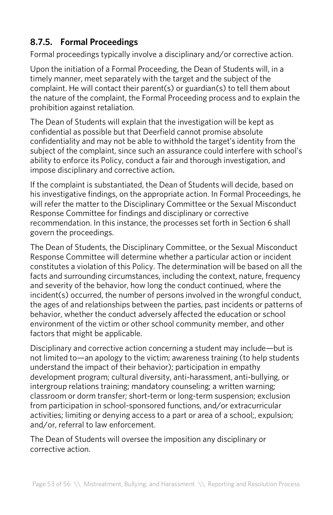### **8.7.5. Formal Proceedings**

Formal proceedings typically involve a disciplinary and/or corrective action.

Upon the initiation of a Formal Proceeding, the Dean of Students will, in a timely manner, meet separately with the target and the subject of the complaint. He will contact their parent(s) or guardian(s) to tell them about the nature of the complaint, the Formal Proceeding process and to explain the prohibition against retaliation.

The Dean of Students will explain that the investigation will be kept as confidential as possible but that Deerfield cannot promise absolute confidentiality and may not be able to withhold the target's identity from the subject of the complaint, since such an assurance could interfere with school's ability to enforce its Policy, conduct a fair and thorough investigation, and impose disciplinary and corrective action.

If the complaint is substantiated, the Dean of Students will decide, based on his investigative findings, on the appropriate action. In Formal Proceedings, he will refer the matter to the Disciplinary Committee or the Sexual Misconduct Response Committee for findings and disciplinary or corrective recommendation. In this instance, the processes set forth in Section 6 shall govern the proceedings.

The Dean of Students, the Disciplinary Committee, or the Sexual Misconduct Response Committee will determine whether a particular action or incident constitutes a violation of this Policy. The determination will be based on all the facts and surrounding circumstances, including the context, nature, frequency and severity of the behavior, how long the conduct continued, where the incident(s) occurred, the number of persons involved in the wrongful conduct, the ages of and relationships between the parties, past incidents or patterns of behavior, whether the conduct adversely affected the education or school environment of the victim or other school community member, and other factors that might be applicable.

Disciplinary and corrective action concerning a student may include—but is not limited to—an apology to the victim; awareness training (to help students understand the impact of their behavior); participation in empathy development program; cultural diversity, anti-harassment, anti-bullying, or intergroup relations training; mandatory counseling; a written warning; classroom or dorm transfer; short-term or long-term suspension; exclusion from participation in school-sponsored functions, and/or extracurricular activities; limiting or denying access to a part or area of a school;, expulsion; and/or, referral to law enforcement.

The Dean of Students will oversee the imposition any disciplinary or corrective action.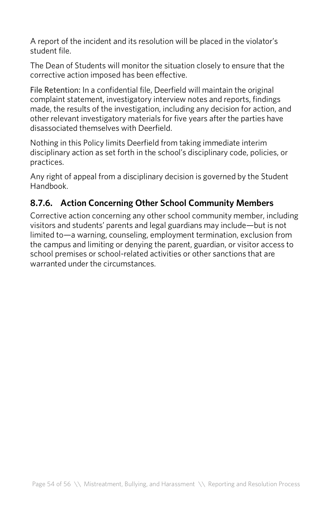A report of the incident and its resolution will be placed in the violator's student file.

The Dean of Students will monitor the situation closely to ensure that the corrective action imposed has been effective.

File Retention: In a confidential file, Deerfield will maintain the original complaint statement, investigatory interview notes and reports, findings made, the results of the investigation, including any decision for action, and other relevant investigatory materials for five years after the parties have disassociated themselves with Deerfield.

Nothing in this Policy limits Deerfield from taking immediate interim disciplinary action as set forth in the school's disciplinary code, policies, or practices.

Any right of appeal from a disciplinary decision is governed by the Student Handbook.

# **8.7.6. Action Concerning Other School Community Members**

Corrective action concerning any other school community member, including visitors and students' parents and legal guardians may include—but is not limited to—a warning, counseling, employment termination, exclusion from the campus and limiting or denying the parent, guardian, or visitor access to school premises or school-related activities or other sanctions that are warranted under the circumstances.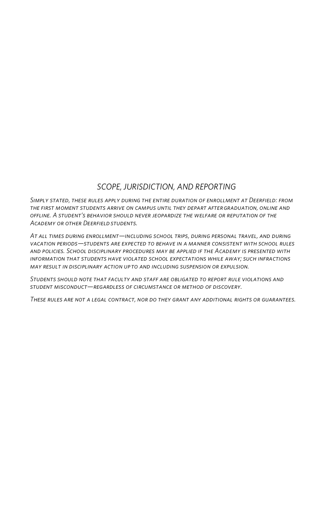#### *SCOPE, JURISDICTION, AND REPORTING*

*Simply stated, these rules apply during the entire duration of enrollment at Deerfield: from the first moment students arrive on campus until they depart aftergraduation, online and offline. A student's behavior should never jeopardize the welfare or reputation of the Academy or other Deerfieldstudents.* 

*At all times during enrollment—including school trips, during personal travel, and during vacation periods—students are expected to behave in a manner consistent with school rules and policies. School disciplinary procedures may be applied if the Academy is presented with information that students have violated school expectations while away; such infractions may result in disciplinary action up to and including suspension or expulsion.*

*Students should note that faculty and staff are obligated to report rule violations and student misconduct—regardless of circumstance or method of discovery.* 

*These rules are not a legal contract, nor do they grant any additional rights or guarantees.*